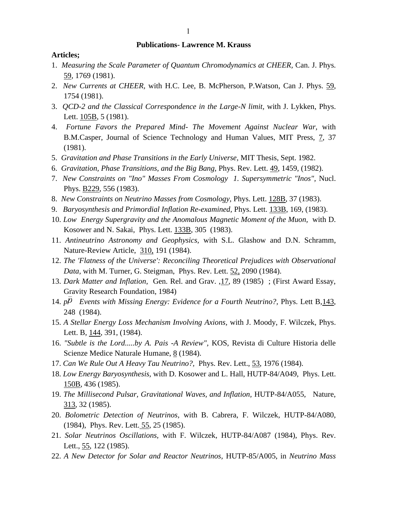#### **Publications- Lawrence M. Krauss**

#### **Articles;**

- 1. *Measuring the Scale Parameter of Quantum Chromodynamics at CHEER,* Can. J. Phys. 59, 1769 (1981).
- 2. *New Currents at CHEER,* with H.C. Lee, B. McPherson, P.Watson, Can J. Phys. 59, 1754 (1981).
- 3. *QCD-2 and the Classical Correspondence in the Large-N limit,* with J. Lykken, Phys. Lett. 105B, 5 (1981).
- 4. *Fortune Favors the Prepared Mind- The Movement Against Nuclear War,* with B.M.Casper, Journal of Science Technology and Human Values, MIT Press, 7, 37 (1981).
- 5. *Gravitation and Phase Transitions in the Early Universe,* MIT Thesis, Sept. 1982.
- 6. *Gravitation, Phase Transitions, and the Big Bang,* Phys. Rev. Lett. 49, 1459, (1982).
- 7. *New Constraints on "Ino" Masses From Cosmology 1. Supersymmetric "Inos",* Nucl. Phys. B229, 556 (1983).
- 8. *New Constraints on Neutrino Masses from Cosmology,* Phys. Lett. 128B, 37 (1983).
- 9. *Baryosynthesis and Primordial Inflation Re-examined,* Phys. Lett. 133B, 169, (1983).
- 10. *Low Energy Supergravity and the Anomalous Magnetic Moment of the Muon,* with D. Kosower and N. Sakai, Phys. Lett. 133B, 305 (1983).
- 11. *Antineutrino Astronomy and Geophysics,* with S.L. Glashow and D.N. Schramm, Nature-Review Article, 310, 191 (1984).
- 12. *The 'Flatness of the Universe': Reconciling Theoretical Prejudices with Observational Data,* with M. Turner, G. Steigman, Phys. Rev. Lett. 52, 2090 (1984).
- 13. *Dark Matter and Inflation*, Gen. Rel. and Grav. ,17, 89 (1985) ; (First Award Essay, Gravity Research Foundation, 1984)
- 14.  $p$ *P* Events with Missing Energy: Evidence for a Fourth Neutrino?, Phys. Lett B,  $\frac{143}{2}$ , 248 (1984).
- 15. *A Stellar Energy Loss Mechanism Involving Axions,* with J. Moody, F. Wilczek, Phys. Lett. B, 144, 391, (1984).
- 16. *"Subtle is the Lord.....by A. Pais -A Review",* KOS, Revista di Culture Historia delle Scienze Medice Naturale Humane, 8 (1984).
- 17. *Can We Rule Out A Heavy Tau Neutrino?,* Phys. Rev. Lett., 53, 1976 (1984).
- 18. *Low Energy Baryosynthesis,* with D. Kosower and L. Hall, HUTP-84/A049, Phys. Lett. 150B, 436 (1985).
- 19. *The Millisecond Pulsar, Gravitational Waves, and Inflation,* HUTP-84/A055, Nature, 313, 32 (1985).
- 20. *Bolometric Detection of Neutrinos,* with B. Cabrera, F. Wilczek, HUTP-84/A080, (1984), Phys. Rev. Lett. 55, 25 (1985).
- 21. *Solar Neutrinos Oscillations,* with F. Wilczek, HUTP-84/A087 (1984), Phys. Rev. Lett., 55, 122 (1985).
- 22. *A New Detector for Solar and Reactor Neutrinos,* HUTP-85/A005, in *Neutrino Mass*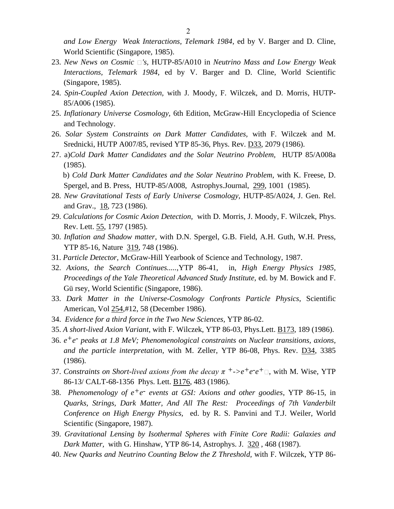*and Low Energy Weak Interactions, Telemark 1984*, ed by V. Barger and D. Cline, World Scientific (Singapore, 1985).

- 23. *New News on Cosmic 's,* HUTP-85/A010 in *Neutrino Mass and Low Energy Weak Interactions, Telemark 1984*, ed by V. Barger and D. Cline, World Scientific (Singapore, 1985).
- 24. *Spin-Coupled Axion Detection,* with J. Moody, F. Wilczek, and D. Morris, HUTP-85/A006 (1985).
- 25. *Inflationary Universe Cosmology,* 6th Edition, McGraw-Hill Encyclopedia of Science and Technology.
- 26. *Solar System Constraints on Dark Matter Candidates,* with F. Wilczek and M. Srednicki, HUTP A007/85, revised YTP 85-36, Phys. Rev. D33, 2079 (1986).
- 27. a)*Cold Dark Matter Candidates and the Solar Neutrino Problem,* HUTP 85/A008a (1985).
	- b) *Cold Dark Matter Candidates and the Solar Neutrino Problem,* with K. Freese, D. Spergel, and B. Press, HUTP-85/A008, Astrophys.Journal, 299, 1001 (1985).
- 28. *New Gravitational Tests of Early Universe Cosmology,* HUTP-85/A024, J. Gen. Rel. and Grav., 18, 723 (1986).
- 29. *Calculations for Cosmic Axion Detection,* with D. Morris, J. Moody, F. Wilczek, Phys. Rev. Lett. 55, 1797 (1985).
- 30. *Inflation and Shadow matter,* with D.N. Spergel, G.B. Field, A.H. Guth, W.H. Press, YTP 85-16, Nature 319, 748 (1986).
- 31. *Particle Detector,* McGraw-Hill Yearbook of Science and Technology, 1987.
- 32. *Axions, the Search Continues.....*,YTP 86-41, in, *High Energy Physics 1985, Proceedings of the Yale Theoretical Advanced Study Institute,* ed. by M. Bowick and F. Gü rsey, World Scientific (Singapore, 1986).
- 33. *Dark Matter in the Universe-Cosmology Confronts Particle Physics*, Scientific American, Vol 254,#12, 58 (December 1986).
- 34. *Evidence for a third force in the Two New Sciences,* YTP 86-02.
- 35. *A short-lived Axion Variant*, with F. Wilczek, YTP 86-03, Phys.Lett. B173, 189 (1986).
- 36. *e+e - peaks at 1.8 MeV; Phenomenological constraints on Nuclear transitions, axions, and the particle interpretation,* with M. Zeller, YTP 86-08, Phys. Rev. D34, 3385 (1986).
- 37. *Constraints on Short-lived axions from the decay*  $\pi$  <sup>+</sup>->e<sup>+</sup>e<sup>-</sup>e<sup>+</sup> $\Box$ , with M. Wise, YTP 86-13/ CALT-68-1356 Phys. Lett. B176, 483 (1986).
- 38. *Phenomenology of e+e - events at GSI: Axions and other goodies*, YTP 86-15, in *Quarks, Strings, Dark Matter, And All The Rest: Proceedings of 7th Vanderbilt Conference on High Energy Physics,* ed. by R. S. Panvini and T.J. Weiler, World Scientific (Singapore, 1987).
- 39. *Gravitational Lensing by Isothermal Spheres with Finite Core Radii: Galaxies and Dark Matter,* with G. Hinshaw, YTP 86-14, Astrophys. J. 320 , 468 (1987).
- 40. *New Quarks and Neutrino Counting Below the Z Threshold,* with F. Wilczek, YTP 86-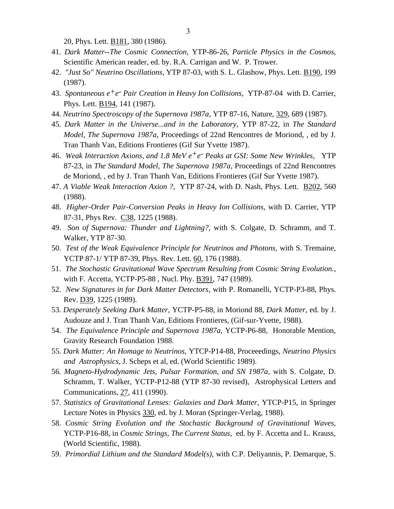20, Phys. Lett. B181, 380 (1986).

- 41. *Dark Matter--The Cosmic Connection,* YTP-86-26, *Particle Physics in the Cosmos,*  Scientific American reader, ed. by. R.A. Carrigan and W. P. Trower.
- 42. *"Just So" Neutrino Oscillations*, YTP 87-03, with S. L. Glashow, Phys. Lett. B190, 199 (1987).
- 43. *Spontaneous e+e - Pair Creation in Heavy Ion Collisions,* YTP-87-04 with D. Carrier, Phys. Lett. B194, 141 (1987).
- 44. *Neutrino Spectroscopy of the Supernova 1987a*, YTP 87-16, Nature, 329, 689 (1987).
- 45. *Dark Matter in the Universe...and in the Laboratory,* YTP 87-22, in *The Standard Model, The Supernova 1987a*, Proceedings of 22nd Rencontres de Moriond, , ed by J. Tran Thanh Van, Editions Frontieres (Gif Sur Yvette 1987).
- 46. *Weak Interaction Axions, and 1.8 MeV e+e - Peaks at GSI: Some New Wrinkles,* YTP 87-23, in *The Standard Model, The Supernova 1987a*, Proceedings of 22nd Rencontres de Moriond, , ed by J. Tran Thanh Van, Editions Frontieres (Gif Sur Yvette 1987).
- 47. *A Viable Weak Interaction Axion ?,* YTP 87-24, with D. Nash, Phys. Lett. B202, 560 (1988).
- 48. *Higher-Order Pair-Conversion Peaks in Heavy Ion Collisions,* with D. Carrier, YTP 87-31, Phys Rev. C38, 1225 (1988).
- 49. *Son of Supernova: Thunder and Lightning?*, with S. Colgate, D. Schramm, and T. Walker, YTP 87-30.
- 50. *Test of the Weak Equivalence Principle for Neutrinos and Photons,* with S. Tremaine, YCTP 87-1/ YTP 87-39, Phys. Rev. Lett. 60, 176 (1988).
- 51. *The Stochastic Gravitational Wave Spectrum Resulting from Cosmic String Evolution.*, with F. Accetta, YCTP-P5-88 , Nucl. Phy. B391, 747 (1989).
- 52. *New Signatures in for Dark Matter Detectors*, with P. Romanelli, YCTP-P3-88, Phys. Rev. D39, 1225 (1989).
- 53. *Desperately Seeking Dark Matter*, YCTP-P5-88, in Moriond 88, *Dark Matter,* ed. by J. Audouze and J. Tran Thanh Van, Editions Frontieres, (Gif-sur-Yvette, 1988).
- 54. *The Equivalence Principle and Supernova 1987a,* YCTP-P6-88, Honorable Mention, Gravity Research Foundation 1988.
- 55. *Dark Matter: An Homage to Neutrinos,* YTCP-P14-88, Proceeedings, *Neutrino Physics and Astrophysics*, J. Scheps et al, ed. (World Scientific 1989).
- 56. *Magneto-Hydrodynamic Jets, Pulsar Formation, and SN 1987a*, with S. Colgate, D. Schramm, T. Walker, YCTP-P12-88 (YTP 87-30 revised), Astrophysical Letters and Communications, 27, 411 (1990).
- 57. *Statistics of Gravitational Lenses: Galaxies and Dark Matter*, YTCP-P15, in Springer Lecture Notes in Physics 330, ed. by J. Moran (Springer-Verlag, 1988).
- 58. *Cosmic String Evolution and the Stochastic Background of Gravitational Waves*, YCTP-P16-88, in *Cosmic Strings, The Current Status*, ed. by F. Accetta and L. Krauss, (World Scientific, 1988).
- 59. *Primordial Lithium and the Standard Model(s),* with C.P. Deliyannis, P. Demarque, S.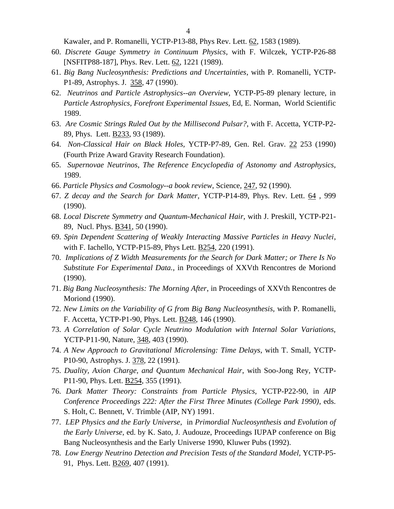Kawaler, and P. Romanelli, YCTP-P13-88, Phys Rev. Lett. 62, 1583 (1989).

- 60. *Discrete Gauge Symmetry in Continuum Physics*, with F. Wilczek, YCTP-P26-88 [NSFITP88-187], Phys. Rev. Lett. 62, 1221 (1989).
- 61. *Big Bang Nucleosynthesis: Predictions and Uncertainties*, with P. Romanelli, YCTP-P1-89, Astrophys. J. 358, 47 (1990).
- 62. *Neutrinos and Particle Astrophysics--an Overview,* YCTP-P5-89 plenary lecture, in *Particle Astrophysics, Forefront Experimental Issues,* Ed, E. Norman, World Scientific 1989.
- 63. *Are Cosmic Strings Ruled Out by the Millisecond Pulsar?*, with F. Accetta, YCTP-P2- 89, Phys. Lett. B233, 93 (1989).
- 64. *Non-Classical Hair on Black Holes,* YCTP-P7-89, Gen. Rel. Grav. 22 253 (1990) (Fourth Prize Award Gravity Research Foundation).
- 65. *Supernovae Neutrinos*, *The Reference Encyclopedia of Astonomy and Astrophysics*, 1989.
- 66. *Particle Physics and Cosmology--a book review*, Science*,* 247, 92 (1990).
- 67. *Z decay and the Search for Dark Matter,* YCTP-P14-89, Phys. Rev. Lett. 64 , 999 (1990).
- 68. *Local Discrete Symmetry and Quantum-Mechanical Hair,* with J. Preskill, YCTP-P21- 89, Nucl. Phys. B341, 50 (1990).
- 69. *Spin Dependent Scattering of Weakly Interacting Massive Particles in Heavy Nuclei*, with F. Iachello, YCTP-P15-89, Phys Lett. B254, 220 (1991).
- 70. *Implications of Z Width Measurements for the Search for Dark Matter; or There Is No Substitute For Experimental Data.*, in Proceedings of XXVth Rencontres de Moriond (1990).
- 71. *Big Bang Nucleosynthesis: The Morning After*, in Proceedings of XXVth Rencontres de Moriond (1990).
- 72. *New Limits on the Variability of G from Big Bang Nucleosynthesis,* with P. Romanelli, F. Accetta, YCTP-P1-90, Phys. Lett. B248, 146 (1990).
- 73. *A Correlation of Solar Cycle Neutrino Modulation with Internal Solar Variations,*  YCTP-P11-90, Nature, 348, 403 (1990).
- 74. *A New Approach to Gravitational Microlensing: Time Delays*, with T. Small, YCTP-P10-90, Astrophys. J. 378, 22 (1991).
- 75. *Duality, Axion Charge, and Quantum Mechanical Hair*, with Soo-Jong Rey, YCTP-P11-90, Phys. Lett. B254, 355 (1991).
- 76. *Dark Matter Theory: Constraints from Particle Physics,* YCTP-P22-90, in *AIP Conference Proceedings 222: After the First Three Minutes (College Park 1990)*, eds. S. Holt, C. Bennett, V. Trimble (AIP, NY) 1991.
- 77. *LEP Physics and the Early Universe,* in *Primordial Nucleosynthesis and Evolution of the Early Universe,* ed. by K. Sato, J. Audouze, Proceedings IUPAP conference on Big Bang Nucleosynthesis and the Early Universe 1990, Kluwer Pubs (1992).
- 78. *Low Energy Neutrino Detection and Precision Tests of the Standard Model,* YCTP-P5- 91, Phys. Lett. **B269**, 407 (1991).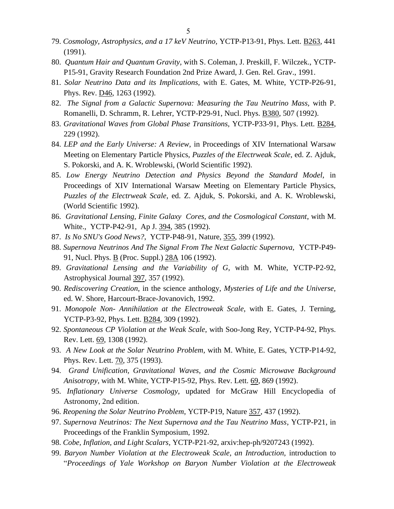- 79. *Cosmology, Astrophysics, and a 17 keV Neutrino,* YCTP-P13-91, Phys. Lett. B263, 441 (1991).
- 80. *Quantum Hair and Quantum Gravity,* with S. Coleman, J. Preskill, F. Wilczek., YCTP-P15-91, Gravity Research Foundation 2nd Prize Award, J. Gen. Rel. Grav., 1991.
- 81. *Solar Neutrino Data and its Implications,* with E. Gates, M. White, YCTP-P26-91, Phys. Rev. D46, 1263 (1992).
- 82. *The Signal from a Galactic Supernova: Measuring the Tau Neutrino Mass,* with P. Romanelli, D. Schramm, R. Lehrer, YCTP-P29-91, Nucl. Phys. B380, 507 (1992).
- 83. *Gravitational Waves from Global Phase Transitions,* YCTP-P33-91, Phys. Lett. B284, 229 (1992).
- 84. *LEP and the Early Universe: A Review,* in Proceedings of XIV International Warsaw Meeting on Elementary Particle Physics, *Puzzles of the Electrweak Scale*, ed. Z. Ajduk, S. Pokorski, and A. K. Wroblewski, (World Scientific 1992).
- 85. *Low Energy Neutrino Detection and Physics Beyond the Standard Model,* in Proceedings of XIV International Warsaw Meeting on Elementary Particle Physics, *Puzzles of the Electrweak Scale*, ed. Z. Ajduk, S. Pokorski, and A. K. Wroblewski, (World Scientific 1992).
- 86. *Gravitational Lensing, Finite Galaxy Cores, and the Cosmological Constant*, with M. White., YCTP-P42-91, Ap J. 394, 385 (1992).
- 87. *Is No SNU's Good News?*, YCTP-P48-91, Nature, 355, 399 (1992).
- 88. *Supernova Neutrinos And The Signal From The Next Galactic Supernova,* YCTP-P49- 91, Nucl. Phys. B (Proc. Suppl.) 28A 106 (1992).
- 89. *Gravitational Lensing and the Variability of G*, with M. White, YCTP-P2-92, Astrophysical Journal 397, 357 (1992).
- 90. *Rediscovering Creation*, in the science anthology, *Mysteries of Life and the Universe,* ed. W. Shore, Harcourt-Brace-Jovanovich, 1992.
- 91. *Monopole Non- Annihilation at the Electroweak Scale*, with E. Gates, J. Terning, YCTP-P3-92, Phys. Lett. B284, 309 (1992).
- 92. *Spontaneous CP Violation at the Weak Scale*, with Soo-Jong Rey, YCTP-P4-92, Phys. Rev. Lett. 69, 1308 (1992).
- 93. *A New Look at the Solar Neutrino Problem,* with M. White, E. Gates, YCTP-P14-92, Phys. Rev. Lett. 70, 375 (1993).
- 94. *Grand Unification, Gravitational Waves, and the Cosmic Microwave Background Anisotropy,* with M. White, YCTP-P15-92, Phys. Rev. Lett. 69, 869 (1992).
- 95. *Inflationary Universe Cosmology,* updated for McGraw Hill Encyclopedia of Astronomy, 2nd edition.
- 96. *Reopening the Solar Neutrino Problem*, YCTP-P19, Nature 357, 437 (1992).
- 97. *Supernova Neutrinos: The Next Supernova and the Tau Neutrino Mass*, YCTP-P21, in Proceedings of the Franklin Symposium, 1992.
- 98. *Cobe, Inflation, and Light Scalars,* YCTP-P21-92, arxiv:hep-ph/9207243 (1992).
- 99. *Baryon Number Violation at the Electroweak Scale, an Introduction,* introduction to "*Proceedings of Yale Workshop on Baryon Number Violation at the Electroweak*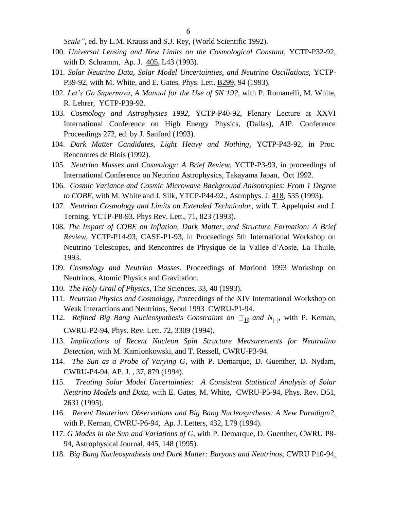6

*Scale"*, ed. by L.M. Krauss and S.J. Rey, (World Scientific 1992).

- 100. *Universal Lensing and New Limits on the Cosmological Constant*, YCTP-P32-92, with D. Schramm, Ap. J. 405, L43 (1993).
- 101. *Solar Neutrino Data, Solar Model Uncertainties, and Neutrino Oscillations,* YCTP-P39-92, with M. White, and E. Gates, Phys. Lett. B299, 94 (1993).
- 102. *Let's Go Supernova*, *A Manual for the Use of SN 19?*, with P. Romanelli, M. White, R. Lehrer, YCTP-P39-92.
- 103. *Cosmology and Astrophysics 1992*, YCTP-P40-92, Plenary Lecture at XXVI International Conference on High Energy Physics, (Dallas), AIP. Conference Proceedings 272, ed. by J. Sanford (1993).
- 104. *Dark Matter Candidates, Light Heavy and Nothing*, YCTP-P43-92, in Proc. Rencontres de Blois (1992).
- 105. *Neutrino Masses and Cosmology: A Brief Review,* YCTP-P3-93, in proceedings of International Conference on Neutrino Astrophysics, Takayama Japan, Oct 1992.
- 106. *Cosmic Variance and Cosmic Microwave Background Anisotropies: From 1 Degree to COBE*, with M. White and J. Silk, YTCP-P44-92., Astrophys. J. 418, 535 (1993).
- 107. *Neutrino Cosmology and Limits on Extended Technicolor*, with T. Appelquist and J. Terning, YCTP-P8-93. Phys Rev. Lett., 71, 823 (1993).
- 108. *The Impact of COBE on Inflation, Dark Matter, and Structure Formation: A Brief Review,* YCTP-P14-93, CASE-P1-93, in Proceedings 5th International Workshop on Neutrino Telescopes, and Rencontres de Physique de la Vallee d'Aoste, La Thuile, 1993.
- 109. *Cosmology and Neutrino Masses*, Proceedings of Moriond 1993 Workshop on Neutrinos, Atomic Physics and Gravitation.
- 110. *The Holy Grail of Physics*, The Sciences, 33, 40 (1993).
- 111. *Neutrino Physics and Cosmology,* Proceedings of the XIV International Workshop on Weak Interactions and Neutrinos, Seoul 1993 CWRU-P1-94.
- 112. *Refined Big Bang Nucleosynthesis Constraints on*  $\Box_B$  *and*  $N_{\Box}$ *, with P. Kernan,* CWRU-P2-94, Phys. Rev. Lett. 72, 3309 (1994).
- 113. *Implications of Recent Nucleon Spin Structure Measurements for Neutralino Detection*, with M. Kamionkowski, and T. Ressell, CWRU-P3-94.
- 114. *The Sun as a Probe of Varying G*, with P. Demarque, D. Guenther, D. Nydam, CWRU-P4-94, AP. J. , 37, 879 (1994).
- 115. *Treating Solar Model Uncertainties: A Consistent Statistical Analysis of Solar Neutrino Models and Data,* with E. Gates, M. White, CWRU-P5-94, Phys. Rev. D51, 2631 (1995).
- 116. *Recent Deuterium Observations and Big Bang Nucleosynthesis: A New Paradigm?*, with P. Kernan, CWRU-P6-94, Ap. J. Letters, 432, L79 (1994).
- 117. *G Modes in the Sun and Variations of G, w*ith P. Demarque, D. Guenther, CWRU P8- 94, Astrophysical Journal, 445, 148 (1995).
- 118. *Big Bang Nucleosynthesis and Dark Matter: Baryons and Neutrinos,* CWRU P10-94,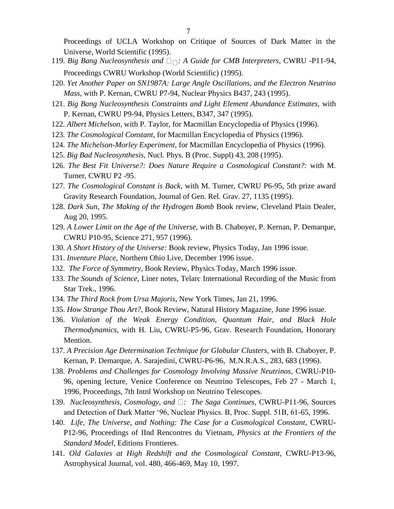Proceedings of UCLA Workshop on Critique of Sources of Dark Matter in the Universe, World Scientific (1995).

- 119. *Big Bang Nucleosynthesis and*  $\Box \Box$ : A Guide for CMB Interpreters, CWRU -P11-94, Proceedings CWRU Workshop (World Scientific) (1995).
- 120. *Yet Another Paper on SN1987A: Large Angle Oscillations, and the Electron Neutrino Mass,* with P. Kernan, CWRU P7-94, Nuclear Physics B437, 243 (1995).
- 121. *Big Bang Nucleosynthesis Constraints and Light Element Abundance Estimates,* with P. Kernan, CWRU P9-94, Physics Letters, B347, 347 (1995).
- 122. *Albert Michelson,* with P. Taylor, for Macmillan Encyclopedia of Physics (1996).
- 123. *The Cosmological Constant,* for Macmillan Encyclopedia of Physics (1996).
- 124. *The Michelson-Morley Experiment,* for Macmillan Encyclopedia of Physics (1996)*.*
- 125. *Big Bad Nucleosynthesis,* Nucl. Phys. B (Proc. Suppl) 43, 208 (1995).
- 126. *The Best Fit Universe?: Does Nature Require a Cosmological Constant?:* with M. Turner, CWRU P2 -95.
- 127. *The Cosmological Constant is Back,* with M. Turner, CWRU P6-95, 5th prize award Gravity Research Foundation, Journal of Gen. Rel. Grav. 27, 1135 (1995).
- 128. *Dark Sun, The Making of the Hydrogen Bomb* Book review, Cleveland Plain Dealer, Aug 20, 1995.
- 129. *A Lower Limit on the Age of the Universe,* with B. Chaboyer, P. Kernan, P. Demarque, CWRU P10-95, Science 271, 957 (1996).
- 130. *A Short History of the Universe:* Book review, Physics Today, Jan 1996 issue.
- 131. *Inventure Place,* Northern Ohio Live, December 1996 issue.
- 132. *The Force of Symmetry*, Book Review, Physics Today, March 1996 issue.
- 133. *The Sounds of Science*, Liner notes, Telarc International Recording of the Music from Star Trek., 1996.
- 134. *The Third Rock from Ursa Majoris*, New York Times, Jan 21, 1996.
- 135. *How Strange Thou Art?,* Book Review, Natural History Magazine, June 1996 issue.
- 136. *Violation of the Weak Energy Condition, Quantum Hair, and Black Hole Thermodynamics,* with H. Liu, CWRU-P5-96, Grav. Research Foundation, Honorary Mention.
- 137. *A Precision Age Determination Technique for Globular Clusters,* with B. Chaboyer, P. Kernan, P. Demarque, A. Sarajedini, CWRU-P6-96, M.N.R.A.S., 283, 683 (1996).
- 138. *Problems and Challenges for Cosmology Involving Massive Neutrinos,* CWRU-P10- 96, opening lecture, Venice Conference on Neutrino Telescopes, Feb 27 - March 1, 1996, Proceedings, 7th Intnl Workshop on Neutrino Telescopes.
- 139. *Nucleosynthesis, Cosmology, and*  $\Box$ : The Saga Continues, CWRU-P11-96, Sources and Detection of Dark Matter '96, Nuclear Physics. B, Proc. Suppl. 51B, 61-65, 1996.
- 140. *Life, The Universe, and Nothing: The Case for a Cosmological Constant,* CWRU-P12-96, Proceedings of IInd Rencontres du Vietnam, *Physics at the Frontiers of the Standard Model*, Editions Frontieres.
- 141. *Old Galaxies at High Redshift and the Cosmological Constant,* CWRU-P13-96, Astrophysical Journal*,* vol. 480, 466-469, May 10, 1997.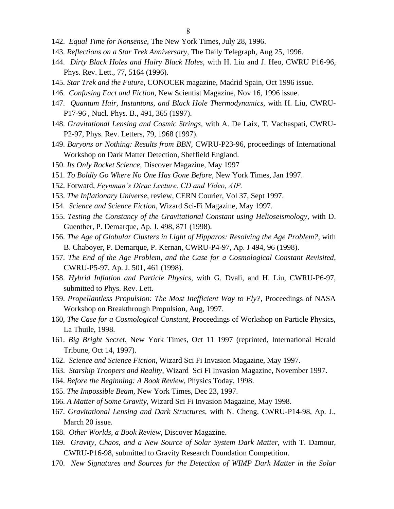- 142. *Equal Time for Nonsense,* The New York Times, July 28, 1996.
- 143. *Reflections on a Star Trek Anniversary,* The Daily Telegraph, Aug 25, 1996.
- 144. *Dirty Black Holes and Hairy Black Holes,* with H. Liu and J. Heo, CWRU P16-96, Phys. Rev. Lett., 77, 5164 (1996).
- 145. *Star Trek and the Future,* CONOCER magazine, Madrid Spain, Oct 1996 issue.
- 146. *Confusing Fact and Fiction,* New Scientist Magazine, Nov 16, 1996 issue.
- 147. *Quantum Hair, Instantons, and Black Hole Thermodynamics,* with H. Liu, CWRU-P17-96 , Nucl. Phys. B., 491, 365 (1997).
- 148. *Gravitational Lensing and Cosmic Strings,* with A. De Laix, T. Vachaspati, CWRU-P2-97, Phys. Rev. Letters, 79, 1968 (1997).
- 149. *Baryons or Nothing: Results from BBN,* CWRU-P23-96, proceedings of International Workshop on Dark Matter Detection, Sheffield England.
- 150. *Its Only Rocket Science,* Discover Magazine, May 1997
- 151. *To Boldly Go Where No One Has Gone Before,* New York Times, Jan 1997.
- 152. Forward, *Feynman's Dirac Lecture, CD and Video, AIP.*
- 153. *The Inflationary Universe,* review, CERN Courier, Vol 37, Sept 1997.
- 154. *Science and Science Fiction*, Wizard Sci-Fi Magazine, May 1997.
- 155. *Testing the Constancy of the Gravitational Constant using Helioseismology*, with D. Guenther, P. Demarque, Ap. J. 498, 871 (1998).
- 156. *The Age of Globular Clusters in Light of Hipparos: Resolving the Age Problem?*, with B. Chaboyer, P. Demarque, P. Kernan, CWRU-P4-97, Ap. J 494, 96 (1998).
- 157. *The End of the Age Problem, and the Case for a Cosmological Constant Revisited*, CWRU-P5-97, Ap. J. 501, 461 (1998).
- 158. *Hybrid Inflation and Particle Physics,* with G. Dvali, and H. Liu, CWRU-P6-97, submitted to Phys. Rev. Lett.
- 159. *Propellantless Propulsion: The Most Inefficient Way to Fly?*, Proceedings of NASA Workshop on Breakthrough Propulsion, Aug, 1997.
- 160, *The Case for a Cosmological Constant*, Proceedings of Workshop on Particle Physics, La Thuile, 1998.
- 161. *Big Bright Secret*, New York Times, Oct 11 1997 (reprinted, International Herald Tribune, Oct 14, 1997).
- 162. *Science and Science Fiction*, Wizard Sci Fi Invasion Magazine, May 1997.
- 163. *Starship Troopers and Reality,* Wizard Sci Fi Invasion Magazine, November 1997.
- 164. *Before the Beginning: A Book Review*, Physics Today, 1998.
- 165. *The Impossible Beam,* New York Times, Dec 23, 1997.
- 166. *A Matter of Some Gravity,* Wizard Sci Fi Invasion Magazine, May 1998.
- 167. *Gravitational Lensing and Dark Structures,* with N. Cheng, CWRU-P14-98, Ap. J., March 20 issue.
- 168. *Other Worlds, a Book Review,* Discover Magazine.
- 169. *Gravity, Chaos, and a New Source of Solar System Dark Matter,* with T. Damour, CWRU-P16-98, submitted to Gravity Research Foundation Competition.
- 170. *New Signatures and Sources for the Detection of WIMP Dark Matter in the Solar*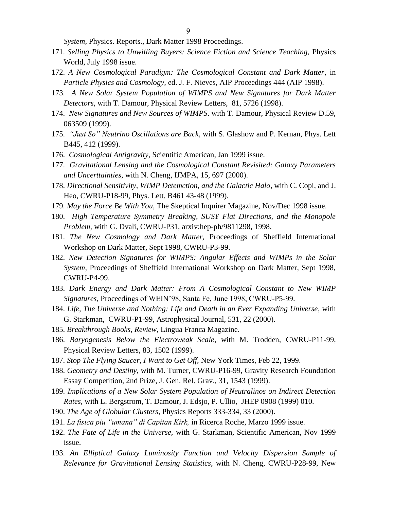*System,* Physics. Reports., Dark Matter 1998 Proceedings.

- 171. *Selling Physics to Unwilling Buyers: Science Fiction and Science Teaching,* Physics World, July 1998 issue.
- 172. *A New Cosmological Paradigm: The Cosmological Constant and Dark Matter*, in *Particle Physics and Cosmology,* ed. J. F. Nieves, AIP Proceedings 444 (AIP 1998).
- 173. *A New Solar System Population of WIMPS and New Signatures for Dark Matter Detectors*, with T. Damour, Physical Review Letters, 81, 5726 (1998).
- 174. *New Signatures and New Sources of WIMPS*. with T. Damour, Physical Review D.59, 063509 (1999).
- 175. *"Just So" Neutrino Oscillations are Back*, with S. Glashow and P. Kernan, Phys. Lett B445, 412 (1999).
- 176. *Cosmological Antigravity,* Scientific American, Jan 1999 issue.
- 177. *Gravitational Lensing and the Cosmological Constant Revisited: Galaxy Parameters and Uncerttainties,* with N. Cheng, IJMPA, 15, 697 (2000).
- 178. *Directional Sensitivity, WIMP Detemction, and the Galactic Halo*, with C. Copi, and J. Heo, CWRU-P18-99, Phys. Lett. B461 43-48 (1999).
- 179. *May the Force Be With You,* The Skeptical Inquirer Magazine, Nov/Dec 1998 issue.
- 180. *High Temperature Symmetry Breaking, SUSY Flat Directions, and the Monopole Problem,* with G. Dvali, CWRU-P31, arxiv:hep-ph/9811298, 1998.
- 181. *The New Cosmology and Dark Matter,* Proceedings of Sheffield International Workshop on Dark Matter, Sept 1998, CWRU-P3-99.
- 182. *New Detection Signatures for WIMPS: Angular Effects and WIMPs in the Solar System,* Proceedings of Sheffield International Workshop on Dark Matter, Sept 1998, CWRU-P4-99.
- 183. *Dark Energy and Dark Matter: From A Cosmological Constant to New WIMP Signatures,* Proceedings of WEIN'98, Santa Fe, June 1998, CWRU-P5-99.
- 184. *Life, The Universe and Nothing: Life and Death in an Ever Expanding Universe*, with G. Starkman, CWRU-P1-99, Astrophysical Journal, 531, 22 (2000).
- 185. *Breakthrough Books, Review*, Lingua Franca Magazine.
- 186. *Baryogenesis Below the Electroweak Scale*, with M. Trodden, CWRU-P11-99, Physical Review Letters, 83, 1502 (1999).
- 187. *Stop The Flying Saucer, I Want to Get Off,* New York Times, Feb 22, 1999.
- 188. *Geometry and Destiny,* with M. Turner, CWRU-P16-99, Gravity Research Foundation Essay Competition, 2nd Prize, J. Gen. Rel. Grav., 31, 1543 (1999).
- 189. *Implications of a New Solar System Population of Neutralinos on Indirect Detection Rates,* with L. Bergstrom, T. Damour, J. Edsjo, P. Ullio, JHEP 0908 (1999) 010.
- 190. *The Age of Globular Clusters,* Physics Reports 333-334, 33 (2000).
- 191. *La fisica piu "umana" di Capitan Kirk,* in Ricerca Roche, Marzo 1999 issue.
- 192. *The Fate of Life in the Universe,* with G. Starkman, Scientific American, Nov 1999 issue.
- 193. *An Elliptical Galaxy Luminosity Function and Velocity Dispersion Sample of Relevance for Gravitational Lensing Statistics*, with N. Cheng, CWRU-P28-99, New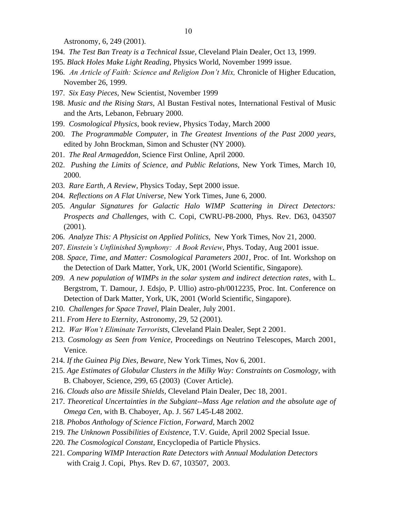Astronomy, 6, 249 (2001).

- 194. *The Test Ban Treaty is a Technical Issue*, Cleveland Plain Dealer, Oct 13, 1999.
- 195. *Black Holes Make Light Reading,* Physics World, November 1999 issue.
- 196. *An Article of Faith: Science and Religion Don't Mix,* Chronicle of Higher Education, November 26, 1999.
- 197. *Six Easy Pieces,* New Scientist, November 1999
- 198. *Music and the Rising Stars,* Al Bustan Festival notes, International Festival of Music and the Arts, Lebanon, February 2000.
- 199. *Cosmological Physics,* book review, Physics Today, March 2000
- 200. *The Programmable Computer*, in *The Greatest Inventions of the Past 2000 years,*  edited by John Brockman, Simon and Schuster (NY 2000).
- 201. *The Real Armageddon,* Science First Online, April 2000.
- 202. *Pushing the Limits of Science, and Public Relations,* New York Times, March 10, 2000.
- 203. *Rare Earth, A Review*, Physics Today, Sept 2000 issue.
- 204. *Reflections on A Flat Universe,* New York Times, June 6, 2000.
- 205. *Angular Signatures for Galactic Halo WIMP Scattering in Direct Detectors: Prospects and Challenges,* with C. Copi, CWRU-P8-2000, Phys. Rev. D63, 043507 (2001).
- 206. *Analyze This: A Physicist on Applied Politics,* New York Times, Nov 21, 2000.
- 207. *Einstein's Unfiinished Symphony: A Book Review*, Phys. Today, Aug 2001 issue.
- 208. *Space, Time, and Matter: Cosmological Parameters 2001,* Proc. of Int. Workshop on the Detection of Dark Matter, York, UK, 2001 (World Scientific, Singapore).
- 209. *A new population of WIMPs in the solar system and indirect detection rates*, with L. Bergstrom, T. Damour, J. Edsjo, P. Ullio) astro-ph/0012235, Proc. Int. Conference on Detection of Dark Matter, York, UK, 2001 (World Scientific, Singapore).
- 210. *Challenges for Space Travel,* Plain Dealer, July 2001.
- 211. *From Here to Eternity*, Astronomy, 29, 52 (2001).
- 212. *War Won't Eliminate Terrorists,* Cleveland Plain Dealer, Sept 2 2001.
- 213. *Cosmology as Seen from Venice,* Proceedings on Neutrino Telescopes, March 2001, Venice.
- 214. *If the Guinea Pig Dies, Beware,* New York Times, Nov 6, 2001.
- 215. *Age Estimates of Globular Clusters in the Milky Way: Constraints on Cosmology,* with B. Chaboyer, Science, 299, 65 (2003) (Cover Article).
- 216. *Clouds also are Missile Shields,* Cleveland Plain Dealer, Dec 18, 2001.
- 217. *Theoretical Uncertainties in the Subgiant--Mass Age relation and the absolute age of Omega Cen,* with B. Chaboyer, Ap. J. 567 L45-L48 2002.
- 218. *Phobos Anthology of Science Fiction, Forward,* March 2002
- 219. *The Unknown Possibilities of Existence*, T.V. Guide, April 2002 Special Issue.
- 220. *The Cosmological Constant,* Encyclopedia of Particle Physics.
- 221. *Comparing WIMP Interaction Rate Detectors with Annual Modulation Detectors* with Craig J. Copi, Phys. Rev D. 67, 103507, 2003.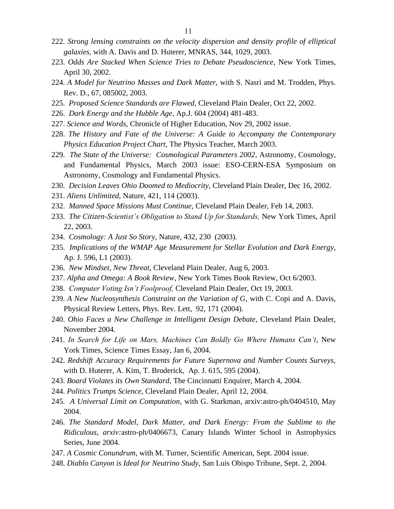- 222. *Strong lensing constraints on the velocity dispersion and density profile of elliptical galaxies,* with A. Davis and D. Huterer, MNRAS, 344, 1029, 2003.
- 223. *Odds Are Stacked When Science Tries to Debate Pseudoscience*, New York Times, April 30, 2002.
- 224. *A Model for Neutrino Masses and Dark Matter,* with S. Nasri and M. Trodden, Phys. Rev. D., 67, 085002, 2003.
- 225. *Proposed Science Standards are Flawed*, Cleveland Plain Dealer, Oct 22, 2002.
- 226. *Dark Energy and the Hubble Age,* Ap.J. 604 (2004) 481-483.
- 227. *Science and Words*, Chronicle of Higher Education, Nov 29, 2002 issue.
- 228. *The History and Fate of the Universe: A Guide to Accompany the Contemporary Physics Education Project Chart*, The Physics Teacher, March 2003.
- 229. *The State of the Universe: Cosmological Parameters 2002*, Astronomy, Cosmology, and Fundamental Physics, March 2003 issue: ESO-CERN-ESA Symposium on Astronomy, Cosmology and Fundamental Physics.
- 230. *Decision Leaves Ohio Doomed to Mediocrity,* Cleveland Plain Dealer, Dec 16, 2002.
- 231. *Aliens Unlimited,* Nature, 421, 114 (2003).
- 232. *Manned Space Missions Must Continue*, Cleveland Plain Dealer, Feb 14, 2003.
- 233. *The Citizen-Scientist's Obligation to Stand Up for Standards,* New York Times, April 22, 2003.
- 234. *Cosmology: A Just So Story*, Nature, 432, 230 (2003).
- 235. *Implications of the WMAP Age Measurement for Stellar Evolution and Dark Energy*, Ap. J. 596, L1 (2003).
- 236. *New Mindset, New Threat,* Cleveland Plain Dealer, Aug 6, 2003.
- 237. *Alpha and Omega: A Book Review*, New York Times Book Review, Oct 6/2003.
- 238. *Computer Voting Isn't Foolproof,* Cleveland Plain Dealer, Oct 19, 2003.
- 239. *A New Nucleosynthesis Constraint on the Variation of G*, with C. Copi and A. Davis, Physical Review Letters, Phys. Rev. Lett, 92, 171 (2004).
- 240. *Ohio Faces a New Challenge in Intelligent Design Debate,* Cleveland Plain Dealer, November 2004.
- 241. *In Search for Life on Mars, Machines Can Boldly Go Where Humans Can't*, New York Times, Science Times Essay, Jan 6, 2004.
- 242. *Redshift Accuracy Requirements for Future Supernova and Number Counts Surveys,*  with D. Huterer, A. Kim, T. Broderick, Ap. J. 615, 595 (2004).
- 243. *Board Violates its Own Standard*, The Cincinnatti Enquirer, March 4, 2004.
- 244. *Politics Trumps Science,* Cleveland Plain Dealer, April 12, 2004.
- 245. *A Universal Limit on Computation*, with G. Starkman, arxiv:astro-ph/0404510, May 2004.
- 246. *The Standard Model, Dark Matter, and Dark Energy: From the Sublime to the Ridiculous, arxiv:*astro-ph/0406673, Canary Islands Winter School in Astrophysics Series, June 2004.
- 247. *A Cosmic Conundrum*, with M. Turner, Scientific American, Sept. 2004 issue.
- 248. *Diablo Canyon is Ideal for Neutrino Study,* San Luis Obispo Tribune, Sept. 2, 2004.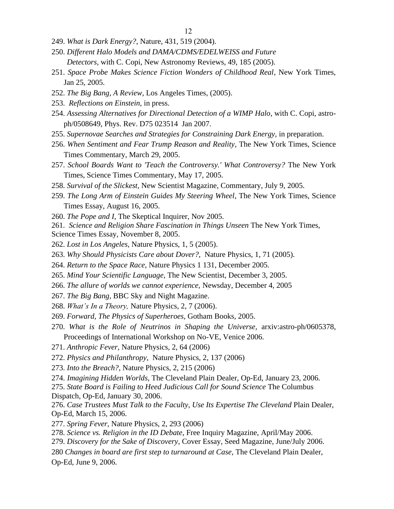- 249. *What is Dark Energy?*, Nature, 431, 519 (2004).
- 250. *Different Halo Models and DAMA/CDMS/EDELWEISS and Future Detectors*, with C. Copi, New Astronomy Reviews, 49, 185 (2005).
- 251. *Space Probe Makes Science Fiction Wonders of Childhood Real*, New York Times, Jan 25, 2005.
- 252. *The Big Bang, A Review,* Los Angeles Times, (2005).
- 253. *Reflections on Einstein,* in press.
- 254. *Assessing Alternatives for Directional Detection of a WIMP Halo*, with C. Copi, astroph/0508649, Phys. Rev. D75 023514 Jan 2007.
- 255. *Supernovae Searches and Strategies for Constraining Dark Energy,* in preparation.
- 256. *When Sentiment and Fear Trump Reason and Reality,* The New York Times, Science Times Commentary, March 29, 2005.
- 257. *School Boards Want to 'Teach the Controversy.' What Controversy?* The New York Times, Science Times Commentary, May 17, 2005.
- 258. *Survival of the Slickest,* New Scientist Magazine, Commentary, July 9, 2005.
- 259. *The Long Arm of Einstein Guides My Steering Wheel,* The New York Times, Science Times Essay, August 16, 2005.
- 260. *The Pope and I,* The Skeptical Inquirer, Nov 2005.
- 261. *Science and Religion Share Fascination in Things Unseen* The New York Times, Science Times Essay, November 8, 2005.
- 262. *Lost in Los Angeles,* Nature Physics, 1, 5 (2005).
- 263. *Why Should Physicists Care about Dover?,* Nature Physics, 1, 71 (2005).
- 264. *Return to the Space Race,* Nature Physics 1 131, December 2005.
- 265. *Mind Your Scientific Language,* The New Scientist, December 3, 2005.
- 266. *The allure of worlds we cannot experience,* Newsday, December 4, 2005
- 267. *The Big Bang,* BBC Sky and Night Magazine.
- 268. *What's In a Theory,* Nature Physics, 2, 7 (2006).
- 269. *Forward, The Physics of Superheroes,* Gotham Books, 2005.
- 270. *What is the Role of Neutrinos in Shaping the Universe,* arxiv:astro-ph/0605378, Proceedings of International Workshop on No-VE, Venice 2006.
- 271. *Anthropic Fever,* Nature Physics, 2, 64 (2006)
- 272. *Physics and Philanthropy,* Nature Physics, 2, 137 (2006)
- 273. *Into the Breach?,* Nature Physics, 2, 215 (2006)
- 274. *Imagining Hidden Worlds,* The Cleveland Plain Dealer, Op-Ed, January 23, 2006.
- 275. *State Board is Failing to Heed Judicious Call for Sound Science* The Columbus Dispatch, Op-Ed, January 30, 2006.
- 276. *Case Trustees Must Talk to the Faculty, Use Its Expertise The Cleveland* Plain Dealer, Op-Ed, March 15, 2006.
- 277. *Spring Fever,* Nature Physics, 2, 293 (2006)
- 278. *Science vs. Religion in the ID Debate*, Free Inquiry Magazine, April/May 2006.
- 279. *Discovery for the Sake of Discovery*, Cover Essay, Seed Magazine, June/July 2006.
- 280 *Changes in board are first step to turnaround at Case,* The Cleveland Plain Dealer, Op-Ed, June 9, 2006.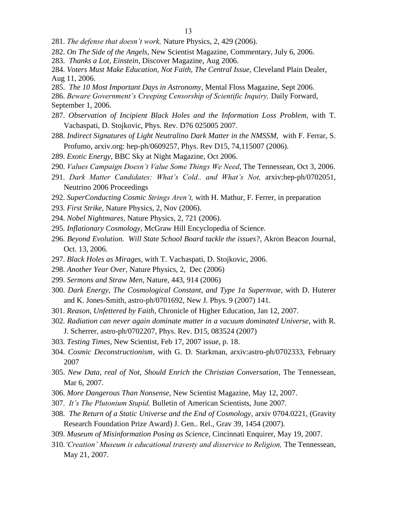- 281. *The defense that doesn't work,* Nature Physics, 2, 429 (2006).
- 282. *On The Side of the Angels,* New Scientist Magazine, Commentary, July 6, 2006.
- 283. *Thanks a Lot, Einstein*, Discover Magazine, Aug 2006.
- 284. *Voters Must Make Education, Not Faith, The Central Issue,* Cleveland Plain Dealer, Aug 11, 2006.
- 285. *The 10 Most Important Days in Astronomy*, Mental Floss Magazine, Sept 2006.

286. *Beware Government's Creeping Censorship of Scientific Inquiry,* Daily Forward, September 1, 2006.

- 287. *Observation of Incipient Black Holes and the Information Loss Problem,* with T. Vachaspati, D. Stojkovic, Phys. Rev. D76 025005 2007.
- 288. *Indirect Signatures of Light Neutralino Dark Matter in the NMSSM,* with F. Ferrar, S. Profumo, arxiv.org: hep-ph/0609257, Phys. Rev D15, 74,115007 (2006).
- 289. *Exotic Energy*, BBC Sky at Night Magazine, Oct 2006.
- 290. *Values Campaign Doesn't Value Some Things We Need*, The Tennessean, Oct 3, 2006.
- 291. *Dark Matter Candidates: What's Cold.. and What's Not,* arxiv:hep-ph/0702051, Neutrino 2006 Proceedings
- 292. *SuperConducting Cosmic Strings Aren't,* with H. Mathur, F. Ferrer, in preparation
- 293. *First Strike,* Nature Physics, 2, Nov (2006).
- 294. *Nobel Nightmares,* Nature Physics, 2, 721 (2006).
- 295. *Inflationary Cosmology,* McGraw Hill Encyclopedia of Science*.*
- 296. *Beyond Evolution. Will State School Board tackle the issues?*, Akron Beacon Journal, Oct. 13, 2006.
- 297. *Black Holes as Mirages,* with T. Vachaspati, D. Stojkovic, 2006.
- 298. *Another Year Over,* Nature Physics, 2, Dec (2006)
- 299. *Sermons and Straw Men*, Nature, 443, 914 (2006)
- 300. *Dark Energy, The Cosmological Constant, and Type 1a Supernvae*, with D. Huterer and K. Jones-Smith, astro-ph/0701692, New J. Phys. 9 (2007) 141.
- 301. *Reason, Unfettered by Faith*, Chronicle of Higher Education, Jan 12, 2007.
- 302. *Radiation can never again dominate matter in a vacuum dominated Universe*, with R. J. Scherrer, astro-ph/0702207, Phys. Rev. D15, 083524 (2007)
- 303. *Testing Times*, New Scientist, Feb 17, 2007 issue, p. 18.
- 304. *Cosmic Deconstructionism*, with G. D. Starkman, arxiv:astro-ph/0702333, February 2007
- 305. *New Data, real of Not, Should Enrich the Christian Conversation*, The Tennessean, Mar 6, 2007.
- 306. *More Dangerous Than Nonsense,* New Scientist Magazine, May 12, 2007.
- 307. *It's The Plutonium Stupid,* Bulletin of American Scientists, June 2007.
- 308. *The Return of a Static Universe and the End of Cosmology,* arxiv 0704.0221, (Gravity Research Foundation Prize Award) J. Gen.. Rel., Grav 39, 1454 (2007).
- 309. *Museum of Misinformation Posing as Science*, Cincinnati Enquirer, May 19, 2007.
- 310. 'Creation' Museum is educational travesty and disservice to Religion, The Tennessean, May 21, 2007.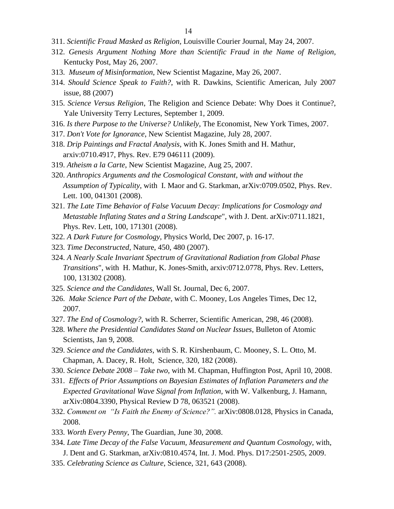- 311. *Scientific Fraud Masked as Religion,* Louisville Courier Journal, May 24, 2007.
- 312. *Genesis Argument Nothing More than Scientific Fraud in the Name of Religion,*  Kentucky Post, May 26, 2007.
- 313. *Museum of Misinformation,* New Scientist Magazine, May 26, 2007.
- 314. *Should Science Speak to Faith?*, with R. Dawkins, Scientific American, July 2007 issue, 88 (2007)
- 315. *Science Versus Religion*, The Religion and Science Debate: Why Does it Continue?, Yale University Terry Lectures, September 1, 2009.
- 316. *Is there Purpose to the Universe? Unlikely*, The Economist, New York Times, 2007.
- 317. *Don't Vote for Ignorance*, New Scientist Magazine, July 28, 2007.
- 318. *Drip Paintings and Fractal Analysis*, with K. Jones Smith and H. Mathur, arxiv:0710.4917, Phys. Rev. E79 046111 (2009).
- 319. *Atheism a la Carte*, New Scientist Magazine, Aug 25, 2007.
- 320. *Anthropics Arguments and the Cosmological Constant*, *with and without the Assumption of Typicality*, with I. Maor and G. Starkman, arXiv:0709.0502, Phys. Rev. Lett. 100, 041301 (2008).
- 321. *The Late Time Behavior of False Vacuum Decay: Implications for Cosmology and Metastable Inflating States and a String Landscape*", with J. Dent. arXiv:0711.1821, Phys. Rev. Lett, 100, 171301 (2008).
- 322. *A Dark Future for Cosmology,* Physics World, Dec 2007, p. 16-17.
- 323. *Time Deconstructed,* Nature, 450, 480 (2007).
- 324. *A Nearly Scale Invariant Spectrum of Gravitational Radiation from Global Phase Transitions*", with H. Mathur, K. Jones-Smith, arxiv:0712.0778, Phys. Rev. Letters, 100, 131302 (2008).
- 325. *Science and the Candidates,* Wall St. Journal, Dec 6, 2007.
- 326. *Make Science Part of the Debate,* with C. Mooney, Los Angeles Times, Dec 12, 2007.
- 327. *The End of Cosmology?,* with R. Scherrer, Scientific American, 298, 46 (2008).
- 328. *Where the Presidential Candidates Stand on Nuclear Issues*, Bulleton of Atomic Scientists, Jan 9, 2008.
- 329. *Science and the Candidates,* with S. R. Kirshenbaum, C. Mooney, S. L. Otto, M. Chapman, A. Dacey, R. Holt, Science, 320, 182 (2008).
- 330. *Science Debate 2008 – Take two,* with M. Chapman, Huffington Post, April 10, 2008.
- 331. *Effects of Prior Assumptions on Bayesian Estimates of Inflation Parameters and the Expected Gravitational Wave Signal from Inflation,* with W. Valkenburg, J. Hamann, arXiv:0804.3390, Physical Review D 78, 063521 (2008).
- 332. *Comment on "Is Faith the Enemy of Science?".* arXiv:0808.0128, Physics in Canada, 2008.
- 333. *Worth Every Penny*, The Guardian, June 30, 2008.
- 334. *Late Time Decay of the False Vacuum, Measurement and Quantum Cosmology,* with,
- J. Dent and G. Starkman, arXiv:0810.4574, Int. J. Mod. Phys. D17:2501-2505, 2009.
- 335. *Celebrating Science as Culture*, Science, 321, 643 (2008).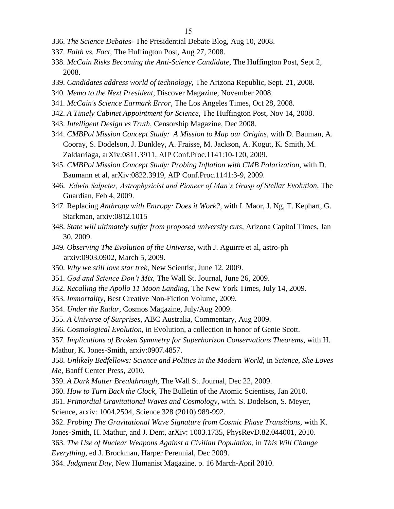- 336. *The Science Debate*s- The Presidential Debate Blog, Aug 10, 2008.
- 337. *Faith vs. Fact*, The Huffington Post, Aug 27, 2008.
- 338. *McCain Risks Becoming the Anti-Science Candidate*, The Huffington Post, Sept 2, 2008.
- 339. *Candidates address world of technology*, The Arizona Republic, Sept. 21, 2008.
- 340. *Memo to the Next President*, Discover Magazine, November 2008.
- 341. *McCain's Science Earmark Error,* The Los Angeles Times, Oct 28, 2008.
- 342. *A Timely Cabinet Appointment for Science*, The Huffington Post, Nov 14, 2008.
- 343. *Intelligent Design vs Truth,* Censorship Magazine, Dec 2008.
- 344. *CMBPol Mission Concept Study: A Mission to Map our Origins,* with D. Bauman, A. Cooray, S. Dodelson, J. Dunkley, A. Fraisse, M. Jackson, A. Kogut, K. Smith, M. Zaldarriaga, arXiv:0811.3911, AIP Conf.Proc.1141:10-120, 2009.
- 345. *CMBPol Mission Concept Study: Probing Inflation with CMB Polarization,* with D. Baumann et al, arXiv:0822.3919, AIP Conf.Proc.1141:3-9, 2009.
- 346. *Edwin Salpeter, Astrophysicist and Pioneer of Man's Grasp of Stellar Evolution*, The Guardian, Feb 4, 2009.
- 347. Replacing *Anthropy with Entropy: Does it Work?,* with I. Maor, J. Ng, T. Kephart, G. Starkman, arxiv:0812.1015
- 348. *State will ultimately suffer from proposed university cuts,* Arizona Capitol Times, Jan 30, 2009.
- 349*. Observing The Evolution of the Universe*, with J. Aguirre et al, astro-ph arxiv:0903.0902, March 5, 2009.
- 350. *Why we still love star trek,* New Scientist, June 12, 2009.
- 351. *God and Science Don't Mix,* The Wall St. Journal, June 26, 2009.
- 352. *Recalling the Apollo 11 Moon Landing,* The New York Times, July 14, 2009.
- 353. *Immortality*, Best Creative Non-Fiction Volume, 2009.
- 354. *Under the Radar*, Cosmos Magazine, July/Aug 2009.
- 355. *A Universe of Surprises,* ABC Australia, Commentary, Aug 2009.
- 356. *Cosmological Evolution,* in Evolution, a collection in honor of Genie Scott.
- 357. *Implications of Broken Symmetry for Superhorizon Conservations Theorems,* with H. Mathur, K. Jones-Smith, arxiv:0907.4857.

358. *Unlikely Bedfellows: Science and Politics in the Modern World,* in *Science, She Loves Me,* Banff Center Press, 2010.

- 359. *A Dark Matter Breakthrough*, The Wall St. Journal, Dec 22, 2009.
- 360. *How to Turn Back the Clock,* The Bulletin of the Atomic Scientists, Jan 2010.
- 361. *Primordial Gravitational Waves and Cosmology,* with. S. Dodelson, S. Meyer, Science, arxiv: 1004.2504, Science 328 (2010) 989-992.
- 362. *Probing The Gravitational Wave Signature from Cosmic Phase Transitions,* with K.
- Jones-Smith, H. Mathur, and J. Dent, arXiv: 1003.1735, PhysRevD.82.044001, 2010.

363. *The Use of Nuclear Weapons Against a Civilian Population,* in *This Will Change Everything,* ed J. Brockman, Harper Perennial, Dec 2009.

364. *Judgment Day,* New Humanist Magazine, p. 16 March-April 2010.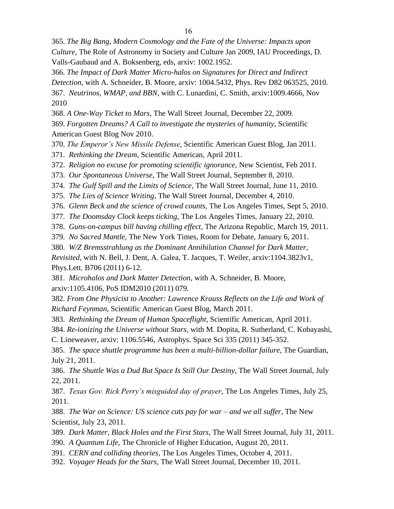365. *The Big Bang, Modern Cosmology and the Fate of the Universe: Impacts upon Culture,* The Role of Astronomy in Society and Culture Jan 2009, IAU Proceedings, D. Valls-Gaubaud and A. Boksenberg, eds, arxiv: 1002.1952.

366. *The Impact of Dark Matter Micro-halos on Signatures for Direct and Indirect Detection,* with A. Schneider, B. Moore, arxiv: 1004.5432, Phys. Rev D82 063525, 2010. 367. *Neutrinos, WMAP, and BBN*, with C. Lunardini, C. Smith, arxiv:1009.4666, Nov 2010

368. *A One-Way Ticket to Mars*, The Wall Street Journal, December 22, 2009.

369. *Forgotten Dreams? A Call to investigate the mysteries of humanity*, Scientific American Guest Blog Nov 2010.

370. *The Emperor's New Missile Defense*, Scientific American Guest Blog, Jan 2011.

371. *Rethinking the Dream*, Scientific American, April 2011.

372. *Religion no excuse for promoting scientific ignorance*, New Scientist, Feb 2011.

373. *Our Spontaneous Universe*, The Wall Street Journal, September 8, 2010.

374. *The Gulf Spill and the Limits of Science*, The Wall Street Journal, June 11, 2010.

375. *The Lies of Science Writing*, The Wall Street Journal, December 4, 2010.

376. *Glenn Beck and the science of crowd counts*, The Los Angeles Times, Sept 5, 2010.

377. *The Doomsday Clock keeps ticking*, The Los Angeles Times, January 22, 2010.

378. *Guns-on-campus bill having chilling effect*, The Arizona Republic, March 19, 2011.

379. *No Sacred Mantle*, The New York Times, Room for Debate, January 6, 2011.

380. *W/Z Bremsstrahlung as the Dominant Annihilation Channel for Dark Matter,* 

*Revisited*, with N. Bell, J. Dent, A. Galea, T. Jacques, T. Weiler, arxiv:1104.3823v1, Phys.Lett. B706 (2011) 6-12.

381. *Microhalos and Dark Matter Detection*, with A. Schneider, B. Moore, arxiv:1105.4106, PoS IDM2010 (2011) 079.

382. *From One Physicist to Another: Lawrence Krauss Reflects on the Life and Work of Richard Feynman*, Scientific American Guest Blog, March 2011.

383. *Rethinking the Dream of Human Spaceflight*, Scientific American, April 2011.

384. *Re-ionizing the Universe without Stars*, with M. Dopita, R. Sutherland, C. Kobayashi,

C. Lineweaver, arxiv: 1106.5546, Astrophys. Space Sci 335 (2011) 345-352.

385. *The space shuttle programme has been a multi-billion-dollar failure*, The Guardian, July 21, 2011.

386. *The Shuttle Was a Dud But Space Is Still Our Destiny*, The Wall Street Journal, July 22, 2011.

387. *Texas Gov. Rick Perry's misguided day of prayer*, The Los Angeles Times, July 25, 2011.

388. *The War on Science: US science cuts pay for war – and we all suffer*, The New Scientist, July 23, 2011.

389. *Dark Matter, Black Holes and the First Stars*, The Wall Street Journal, July 31, 2011.

390. *A Quantum Life*, The Chronicle of Higher Education, August 20, 2011.

391. *CERN and colliding theories*, The Los Angeles Times, October 4, 2011.

392. *Voyager Heads for the Stars*, The Wall Street Journal, December 10, 2011.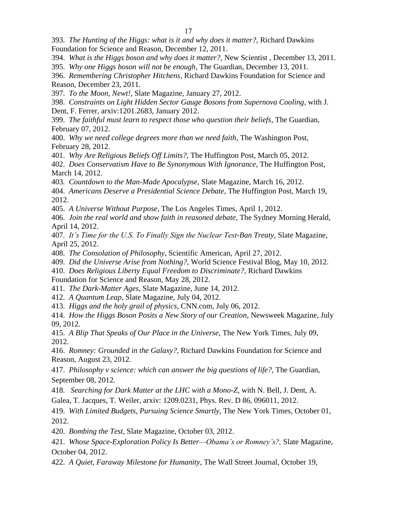393. *The Hunting of the Higgs: what is it and why does it matter?,* Richard Dawkins Foundation for Science and Reason, December 12, 2011.

394. *What is the Higgs boson and why does it matter?,* New Scientist , December 13, 2011.

395. *Why one Higgs boson will not be enough*, The Guardian, December 13, 2011.

396. *Remembering Christopher Hitchens*, Richard Dawkins Foundation for Science and Reason, December 23, 2011.

397. *To the Moon, Newt!,* Slate Magazine, January 27, 2012.

398. *Constraints on Light Hidden Sector Gauge Bosons from Supernova Cooling*, with J. Dent, F. Ferrer, arxiv:1201.2683, January 2012.

399. *The faithful must learn to respect those who question their beliefs*, The Guardian, February 07, 2012.

400. *Why we need college degrees more than we need faith*, The Washington Post, February 28, 2012.

401. *Why Are Religious Beliefs Off Limits?,* The Huffington Post, March 05, 2012.

402. *Does Conservatism Have to Be Synonymous With Ignorance,* The Huffington Post, March 14, 2012.

403*. Countdown to the Man-Made Apocalypse*, Slate Magazine, March 16, 2012.

404. *Americans Deserve a Presidential Science Debate*, The Huffington Post, March 19, 2012.

405. *A Universe Without Purpose*, The Los Angeles Times, April 1, 2012.

406. *Join the real world and show faith in reasoned debate*, The Sydney Morning Herald, April 14, 2012.

407. *It's Time for the U.S. To Finally Sign the Nuclear Test-Ban Treaty*, Slate Magazine, April 25, 2012.

408. *The Consolation of Philosophy*, Scientific American, April 27, 2012.

409. *Did the Universe Arise from Nothing?,* World Science Festival Blog, May 10, 2012.

410. *Does Religious Liberty Equal Freedom to Discriminate?,* Richard Dawkins

Foundation for Science and Reason, May 28, 2012.

411. *The Dark-Matter Ages*, Slate Magazine, June 14, 2012.

412. *A Quantum Leap*, Slate Magazine, July 04, 2012.

413. *Higgs and the holy grail of physics*, CNN.com, July 06, 2012.

414. *How the Higgs Boson Posits a New Story of our Creation*, Newsweek Magazine, July 09, 2012.

415. *A Blip That Speaks of Our Place in the Universe*, The New York Times, July 09, 2012.

416. *Romney: Grounded in the Galaxy?,* Richard Dawkins Foundation for Science and Reason, August 23, 2012.

417. *Philosophy v science: which can answer the big questions of life?,* The Guardian, September 08, 2012.

418. *Searching for Dark Matter at the LHC with a Mono-Z*, with N. Bell, J. Dent, A.

Galea, T. Jacques, T. Weiler, arxiv: 1209.0231, Phys. Rev. D 86, 096011, 2012.

419. *With Limited Budgets, Pursuing Science Smartly*, The New York Times, October 01, 2012.

420. *Bombing the Test*, Slate Magazine, October 03, 2012.

421. *Whose Space-Exploration Policy Is Better—Obama's or Romney's?,* Slate Magazine, October 04, 2012.

422. *A Quiet, Faraway Milestone for Humanity*, The Wall Street Journal, October 19,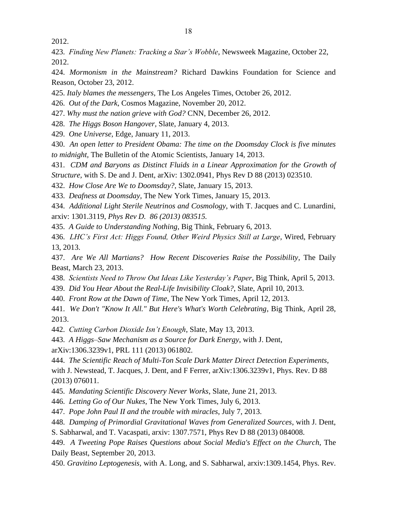2012.

424. *Mormonism in the Mainstream?* Richard Dawkins Foundation for Science and Reason, October 23, 2012.

425. *Italy blames the messengers*, The Los Angeles Times, October 26, 2012.

426. *Out of the Dark*, Cosmos Magazine, November 20, 2012.

427. *Why must the nation grieve with God?* CNN, December 26, 2012.

428. *The Higgs Boson Hangover,* Slate, January 4, 2013.

429. *One Universe,* Edge, January 11, 2013.

430. *An open letter to President Obama: The time on the Doomsday Clock is five minutes to midnight,* The Bulletin of the Atomic Scientists, January 14, 2013.

431. *CDM and Baryons as Distinct Fluids in a Linear Approximation for the Growth of Structure,* with S. De and J. Dent, arXiv: 1302.0941, Phys Rev D 88 (2013) 023510.

432. *How Close Are We to Doomsday?,* Slate, January 15, 2013.

433. *Deafness at Doomsday,* The New York Times, January 15, 2013.

434. *Additional Light Sterile Neutrinos and Cosmology*, with T. Jacques and C. Lunardini, arxiv: 1301.3119, *Phys Rev D. 86 (2013) 083515.*

435. *A Guide to Understanding Nothing,* Big Think, February 6, 2013.

436. *LHC's First Act: Higgs Found, Other Weird Physics Still at Large,* Wired, February 13, 2013.

437. *Are We All Martians? How Recent Discoveries Raise the Possibility,* The Daily Beast, March 23, 2013.

438. *Scientists Need to Throw Out Ideas Like Yesterday's Paper*, Big Think, April 5, 2013.

439. *Did You Hear About the Real-Life Invisibility Cloak?,* Slate, April 10, 2013.

440. *Front Row at the Dawn of Time*, The New York Times, April 12, 2013.

441. *We Don't "Know It All." But Here's What's Worth Celebrating*, Big Think, April 28, 2013.

442. *Cutting Carbon Dioxide Isn't Enough*, Slate, May 13, 2013.

443. *A Higgs–Saw Mechanism as a Source for Dark Energy*, with J. Dent,

arXiv:1306.3239v1, PRL 111 (2013) 061802.

444. *The Scientific Reach of Multi-Ton Scale Dark Matter Direct Detection Experiments*, with J. Newstead, T. Jacques, J. Dent, and F Ferrer, arXiv:1306.3239v1, Phys. Rev. D 88 (2013) 076011.

445. *Mandating Scientific Discovery Never Works*, Slate, June 21, 2013.

446. *Letting Go of Our Nukes*, The New York Times, July 6, 2013.

447. *Pope John Paul II and the trouble with miracles*, July 7, 2013.

448. *Damping of Primordial Gravitational Waves from Generalized Sources*, with J. Dent,

S. Sabharwal, and T. Vacaspati, arxiv: 1307.7571, Phys Rev D 88 (2013) 084008.

449. *A Tweeting Pope Raises Questions about Social Media's Effect on the Church*, The Daily Beast, September 20, 2013.

450. *Gravitino Leptogenesis,* with A. Long, and S. Sabharwal, arxiv:1309.1454, Phys. Rev.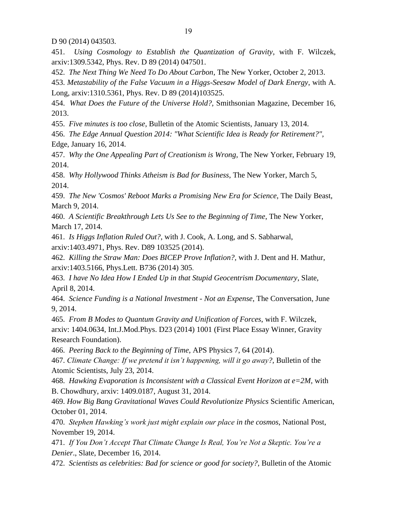D 90 (2014) 043503.

451. *Using Cosmology to Establish the Quantization of Gravity*, with F. Wilczek, arxiv:1309.5342, Phys. Rev. D 89 (2014) 047501.

452. *The Next Thing We Need To Do About Carbon*, The New Yorker, October 2, 2013.

453. *Metastability of the False Vacuum in a Higgs-Seesaw Model of Dark Energy*, with A. Long, arxiv:1310.5361, Phys. Rev. D 89 (2014)103525.

454. *What Does the Future of the Universe Hold?,* Smithsonian Magazine, December 16, 2013.

455. *Five minutes is too close*, Bulletin of the Atomic Scientists, January 13, 2014.

456. *The Edge Annual Question 2014: "What Scientific Idea is Ready for Retirement?",* Edge, January 16, 2014.

457. *Why the One Appealing Part of Creationism is Wrong*, The New Yorker, February 19, 2014.

458. *Why Hollywood Thinks Atheism is Bad for Business*, The New Yorker, March 5, 2014.

459. *The New 'Cosmos' Reboot Marks a Promising New Era for Science*, The Daily Beast, March 9, 2014.

460. *A Scientific Breakthrough Lets Us See to the Beginning of Time*, The New Yorker, March 17, 2014.

461. *Is Higgs Inflation Ruled Out?*, with J. Cook, A. Long, and S. Sabharwal, arxiv:1403.4971, Phys. Rev. D89 103525 (2014).

462. *Killing the Straw Man: Does BICEP Prove Inflation?,* with J. Dent and H. Mathur, arxiv:1403.5166, Phys.Lett. B736 (2014) 305.

463. *I have No Idea How I Ended Up in that Stupid Geocentrism Documentary*, Slate, April 8, 2014.

464. *Science Funding is a National Investment - Not an Expense*, The Conversation, June 9, 2014.

465. *From B Modes to Quantum Gravity and Unification of Forces*, with F. Wilczek, arxiv: 1404.0634, Int.J.Mod.Phys. D23 (2014) 1001 (First Place Essay Winner, Gravity Research Foundation).

466. *Peering Back to the Beginning of Time*, APS Physics 7, 64 (2014).

467. *Climate Change: If we pretend it isn't happening, will it go away?,* Bulletin of the Atomic Scientists, July 23, 2014.

468. *Hawking Evaporation is Inconsistent with a Classical Event Horizon at e=2M*, with B. Chowdhury, arxiv: 1409.0187, August 31, 2014.

469. *How Big Bang Gravitational Waves Could Revolutionize Physics* Scientific American, October 01, 2014.

470. *Stephen Hawking's work just might explain our place in the cosmos*, National Post, November 19, 2014.

471. *If You Don't Accept That Climate Change Is Real, You're Not a Skeptic. You're a Denier*., Slate, December 16, 2014.

472. *Scientists as celebrities: Bad for science or good for society?,* Bulletin of the Atomic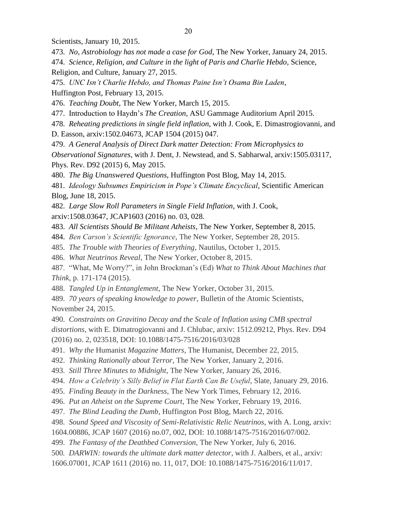Scientists, January 10, 2015.

- 473. *No, Astrobiology has not made a case for God*, The New Yorker, January 24, 2015.
- 474. *Science, Religion, and Culture in the light of Paris and Charlie Hebdo*, Science, Religion, and Culture, January 27, 2015.
- 475. *UNC Isn't Charlie Hebdo, and Thomas Paine Isn't Osama Bin Laden*,

Huffington Post, February 13, 2015.

- 476. *Teaching Doubt*, The New Yorker, March 15, 2015.
- 477. Introduction to Haydn's *The Creation*, ASU Gammage Auditorium April 2015.
- 478. *Reheating predictions in single field inflation*, with J. Cook, E. Dimastrogiovanni, and D. Easson, arxiv:1502.04673, JCAP 1504 (2015) 047.
- 479. *A General Analysis of Direct Dark matter Detection: From Microphysics to*

*Observational Signatures*, with J. Dent, J. Newstead, and S. Sabharwal, arxiv:1505.03117, Phys. Rev. D92 (2015) 6, May 2015.

- 480. *The Big Unanswered Questions*, Huffington Post Blog, May 14, 2015.
- 481. *Ideology Subsumes Empiricism in Pope's Climate Encyclical*, Scientific American Blog, June 18, 2015.
- 482. *Large Slow Roll Parameters in Single Field Inflation*, with J. Cook,
- arxiv:1508.03647, JCAP1603 (2016) no. 03, 028.
- 483. *All Scientists Should Be Militant Atheists*, The New Yorker, September 8, 2015.
- 484. *Ben Carson's Scientific Ignorance*, The New Yorker, September 28, 2015.
- 485. *The Trouble with Theories of Everything*, Nautilus, October 1, 2015.
- 486. *What Neutrinos Reveal*, The New Yorker, October 8, 2015.
- 487. "What, Me Worry?", in John Brockman's (Ed) *What to Think About Machines that Think*, p. 171-174 (2015).
- 488. *Tangled Up in Entanglement*, The New Yorker, October 31, 2015.
- 489. *70 years of speaking knowledge to power*, Bulletin of the Atomic Scientists, November 24, 2015.
- 490. *Constraints on Gravitino Decay and the Scale of Inflation using CMB spectral distortions*, with E. Dimatrogiovanni and J. Chlubac, arxiv: 1512.09212, Phys. Rev. D94 (2016) no. 2, 023518, DOI: 10.1088/1475-7516/2016/03/028
- 491. *Why the* Humanist *Magazine Matters*, The Humanist, December 22, 2015.
- 492. *Thinking Rationally about Terror*, The New Yorker, January 2, 2016.
- 493. *Still Three Minutes to Midnight*, The New Yorker, January 26, 2016.
- 494. *How a Celebrity's Silly Belief in Flat Earth Can Be Useful*, Slate, January 29, 2016.
- 495. *Finding Beauty in the Darkness*, The New York Times, February 12, 2016.
- 496. *Put an Atheist on the Supreme Court*, The New Yorker, February 19, 2016.
- 497. *The Blind Leading the Dumb*, Huffington Post Blog, March 22, 2016.
- 498. *Sound Speed and Viscosity of Semi-Relativistic Relic Neutrinos*, with A. Long, arxiv:
- 1604.00886, JCAP 1607 (2016) no.07, 002, DOI: 10.1088/1475-7516/2016/07/002.
- 499. *The Fantasy of the Deathbed Conversion*, The New Yorker, July 6, 2016.
- 500*. DARWIN: towards the ultimate dark matter detector*, with J. Aalbers, et al., arxiv:
- 1606.07001, JCAP 1611 (2016) no. 11, 017, DOI: 10.1088/1475-7516/2016/11/017.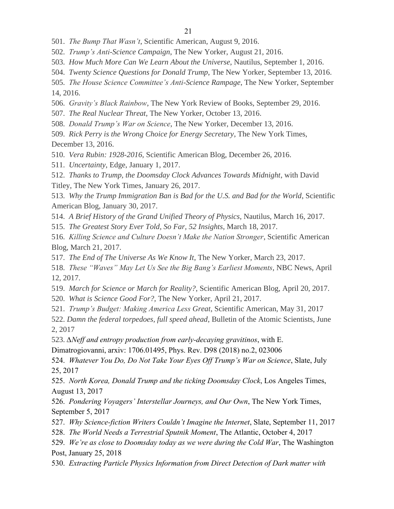- 501. *The Bump That Wasn't*, Scientific American, August 9, 2016.
- 502. *Trump's Anti-Science Campaign*, The New Yorker, August 21, 2016.
- 503. *How Much More Can We Learn About the Universe*, Nautilus, September 1, 2016.
- 504. *Twenty Science Questions for Donald Trump*, The New Yorker, September 13, 2016.
- 505. *The House Science Committee's Anti-Science Rampage*, The New Yorker, September 14, 2016.
- 506. *Gravity's Black Rainbow*, The New York Review of Books, September 29, 2016.
- 507. *The Real Nuclear Threat*, The New Yorker, October 13, 2016.
- 508. *Donald Trump's War on Science*, The New Yorker, December 13, 2016.
- 509. *Rick Perry is the Wrong Choice for Energy Secretary*, The New York Times, December 13, 2016.
- 510. *Vera Rubin: 1928-2016*, Scientific American Blog, December 26, 2016.
- 511. *Uncertainty*, Edge, January 1, 2017.
- 512. *Thanks to Trump, the Doomsday Clock Advances Towards Midnight*, with David Titley, The New York Times, January 26, 2017.
- 513. *Why the Trump Immigration Ban is Bad for the U.S. and Bad for the World*, Scientific American Blog, January 30, 2017.
- 514. *A Brief History of the Grand Unified Theory of Physics*, Nautilus, March 16, 2017.
- 515. *The Greatest Story Ever Told, So Far, 52 Insights*, March 18, 2017.
- 516. *Killing Science and Culture Doesn't Make the Nation Stronger*, Scientific American Blog, March 21, 2017.
- 517. *The End of The Universe As We Know It*, The New Yorker, March 23, 2017.
- 518. *These "Waves" May Let Us See the Big Bang's Earliest Moments*, NBC News, April 12, 2017.
- 519. *March for Science or March for Reality?*, Scientific American Blog, April 20, 2017.
- 520. *What is Science Good For?,* The New Yorker, April 21, 2017.
- 521. *Trump's Budget: Making America Less Great*, Scientific American, May 31, 2017
- 522. *Damn the federal torpedoes, full speed ahead*, Bulletin of the Atomic Scientists, June 2, 2017
- 523. *∆Neff and entropy production from early-decaying gravitinos*, with E.
- Dimatrogiovanni, arxiv: 1706.01495, Phys. Rev. D98 (2018) no.2, 023006
- 524. *Whatever You Do, Do Not Take Your Eyes Off Trump's War on Science*, Slate, July 25, 2017
- 525. *North Korea, Donald Trump and the ticking Doomsday Clock*, Los Angeles Times, August 13, 2017
- 526. *Pondering Voyagers' Interstellar Journeys, and Our Own*, The New York Times, September 5, 2017
- 527. *Why Science-fiction Writers Couldn't Imagine the Internet*, Slate, September 11, 2017
- 528. *The World Needs a Terrestrial Sputnik Moment*, The Atlantic, October 4, 2017
- 529. *We're as close to Doomsday today as we were during the Cold War*, The Washington Post, January 25, 2018
- 530. *Extracting Particle Physics Information from Direct Detection of Dark matter with*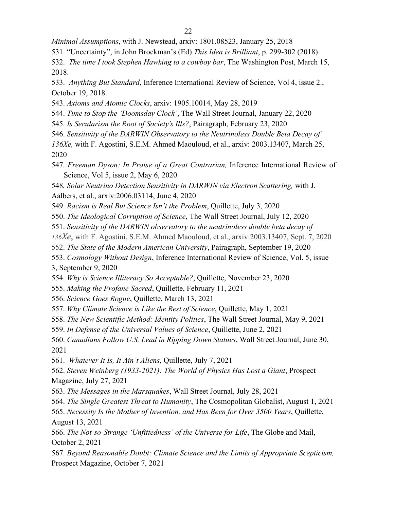*Minimal Assumptions*, with J. Newstead, arxiv: 1801.08523, January 25, 2018

- 531. "Uncertainty", in John Brockman's (Ed) *This Idea is Brilliant*, p. 299-302 (2018)
- 532. *The time I took Stephen Hawking to a cowboy bar*, The Washington Post, March 15, 2018.
- 533. *Anything But Standard*, Inference International Review of Science, Vol 4, issue 2., October 19, 2018.
- 543. *Axioms and Atomic Clocks*, arxiv: 1905.10014, May 28, 2019
- 544. *Time to Stop the 'Doomsday Clock'*, The Wall Street Journal, January 22, 2020
- 545. *Is Secularism the Root of Society's Ills?*, Pairagraph, February 23, 2020
- 546. *Sensitivity of the DARWIN Observatory to the Neutrinoless Double Beta Decay of*
- *136Xe,* with F. Agostini, S.E.M. Ahmed Maouloud, et al., arxiv: 2003.13407, March 25, 2020
- 547*. Freeman Dyson: In Praise of a Great Contrarian,* Inference International Review of Science, Vol 5, issue 2, May 6, 2020
- 548*. Solar Neutrino Detection Sensitivity in DARWIN via Electron Scattering,* with J. Aalbers, et al., arxiv:2006.03114, June 4, 2020
- 549. *Racism is Real But Science Isn't the Problem*, Quillette, July 3, 2020
- 550. *The Ideological Corruption of Science*, The Wall Street Journal, July 12, 2020
- 551. *Sensitivity of the DARWIN observatory to the neutrinoless double beta decay of*
- *136Xe*, with F. Agostini, S.E.M. Ahmed Maouloud, et al., arxiv:2003.13407, Sept. 7, 2020
- 552. *The State of the Modern American University*, Pairagraph, September 19, 2020
- 553. *Cosmology Without Design*, Inference International Review of Science, Vol. 5, issue 3, September 9, 2020
- 554. *Why is Science Illiteracy So Acceptable?*, Quillette, November 23, 2020
- 555. *Making the Profane Sacred*, Quillette, February 11, 2021
- 556. *Science Goes Rogue*, Quillette, March 13, 2021
- 557. *Why Climate Science is Like the Rest of Science*, Quillette, May 1, 2021
- 558. *The New Scientific Method: Identity Politics*, The Wall Street Journal, May 9, 2021
- 559. *In Defense of the Universal Values of Science*, Quillette, June 2, 2021
- 560. *Canadians Follow U.S. Lead in Ripping Down Statues*, Wall Street Journal, June 30, 2021
- 561. *Whatever It Is, It Ain't Aliens*, Quillette, July 7, 2021
- 562. *Steven Weinberg (1933-2021): The World of Physics Has Lost a Giant*, Prospect Magazine, July 27, 2021
- 563. *The Messages in the Marsquakes*, Wall Street Journal, July 28, 2021
- 564. *The Single Greatest Threat to Humanity*, The Cosmopolitan Globalist, August 1, 2021
- 565. *Necessity Is the Mother of Invention, and Has Been for Over 3500 Years*, Quillette, August 13, 2021
- 566. *The Not-so-Strange 'Unfittedness' of the Universe for Life*, The Globe and Mail, October 2, 2021
- 567. *Beyond Reasonable Doubt: Climate Science and the Limits of Appropriate Scepticism,* Prospect Magazine, October 7, 2021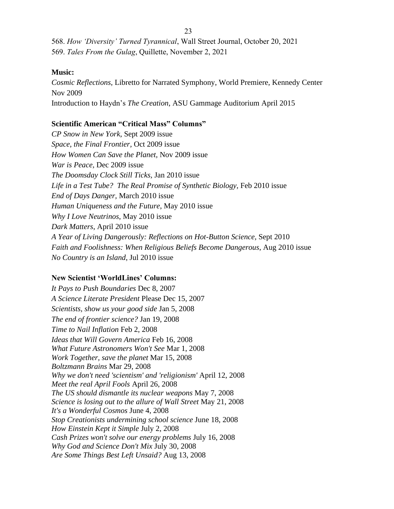568. *How 'Diversity' Turned Tyrannical*, Wall Street Journal, October 20, 2021 569. *Tales From the Gulag*, Quillette, November 2, 2021

### **Music:**

*Cosmic Reflections*, Libretto for Narrated Symphony, World Premiere, Kennedy Center Nov 2009 Introduction to Haydn's *The Creation*, ASU Gammage Auditorium April 2015

## **Scientific American "Critical Mass" Columns"**

*CP Snow in New York*, Sept 2009 issue *Space, the Final Frontier,* Oct 2009 issue *How Women Can Save the Planet,* Nov 2009 issue *War is Peace,* Dec 2009 issue *The Doomsday Clock Still Ticks,* Jan 2010 issue Life in a Test Tube? The Real Promise of Synthetic Biology, Feb 2010 issue *End of Days Danger,* March 2010 issue *Human Uniqueness and the Future*, May 2010 issue *Why I Love Neutrinos*, May 2010 issue *Dark Matters*, April 2010 issue *A Year of Living Dangerously: Reflections on Hot-Button Science,* Sept 2010 *Faith and Foolishness: When Religious Beliefs Become Dangerous*, Aug 2010 issue *No Country is an Island*, Jul 2010 issue

#### **New Scientist 'WorldLines' Columns:**

*It Pays to Push Boundaries* Dec 8, 2007 *A Science Literate President* Please Dec 15, 2007 *Scientists, show us your good side* Jan 5, 2008 *The end of frontier science?* Jan 19, 2008 *Time to Nail Inflation* Feb 2, 2008 *Ideas that Will Govern America* Feb 16, 2008 *What Future Astronomers Won't See* Mar 1, 2008 *Work Together, save the planet* Mar 15, 2008 *Boltzmann Brains* Mar 29, 2008 *Why we don't need 'scientism' and 'religionism'* April 12, 2008 *Meet the real April Fools* April 26, 2008 *The US should dismantle its nuclear weapons* May 7, 2008 *Science is losing out to the allure of Wall Street* May 21, 2008 *It's a Wonderful Cosmos* June 4, 2008 *Stop Creationists undermining school science* June 18, 2008 *How Einstein Kept it Simple* July 2, 2008 *Cash Prizes won't solve our energy problems* July 16, 2008 *Why God and Science Don't Mix* July 30, 2008 *Are Some Things Best Left Unsaid?* Aug 13, 2008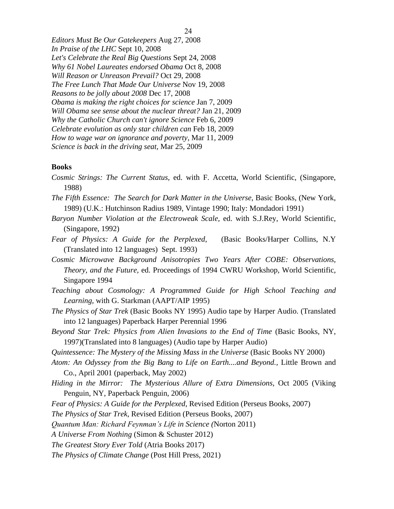*Editors Must Be Our Gatekeepers* Aug 27, 2008 *In Praise of the LHC* Sept 10, 2008 *Let's Celebrate the Real Big Questions* Sept 24, 2008 *Why 61 Nobel Laureates endorsed Obama* Oct 8, 2008 *Will Reason or Unreason Prevail?* Oct 29, 2008 *The Free Lunch That Made Our Universe* Nov 19, 2008 *Reasons to be jolly about 2008* Dec 17, 2008 *Obama is making the right choices for science* Jan 7, 2009 *Will Obama see sense about the nuclear threat?* Jan 21, 2009 *Why the Catholic Church can't ignore Science* Feb 6, 2009 *Celebrate evolution as only star children can* Feb 18, 2009 *How to wage war on ignorance and poverty,* Mar 11, 2009 *Science is back in the driving seat,* Mar 25, 2009

### **Books**

- *Cosmic Strings: The Current Status*, ed. with F. Accetta, World Scientific, (Singapore, 1988)
- *The Fifth Essence: The Search for Dark Matter in the Universe*, Basic Books, (New York, 1989) (U.K.: Hutchinson Radius 1989, Vintage 1990; Italy: Mondadori 1991)
- *Baryon Number Violation at the Electroweak Scale,* ed. with S.J.Rey, World Scientific, (Singapore, 1992)
- *Fear of Physics: A Guide for the Perplexed*, (Basic Books/Harper Collins, N.Y (Translated into 12 languages) Sept. 1993)
- *Cosmic Microwave Background Anisotropies Two Years After COBE: Observations, Theory, and the Future,* ed. Proceedings of 1994 CWRU Workshop, World Scientific, Singapore 1994
- *Teaching about Cosmology: A Programmed Guide for High School Teaching and Learning,* with G. Starkman (AAPT/AIP 1995)
- *The Physics of Star Trek* (Basic Books NY 1995) Audio tape by Harper Audio. (Translated into 12 languages) Paperback Harper Perennial 1996
- *Beyond Star Trek: Physics from Alien Invasions to the End of Time* (Basic Books, NY, 1997)(Translated into 8 languages) (Audio tape by Harper Audio)
- *Quintessence: The Mystery of the Missing Mass in the Universe* (Basic Books NY 2000)
- *Atom: An Odyssey from the Big Bang to Life on Earth....and Beyond.,* Little Brown and Co., April 2001 (paperback, May 2002)
- *Hiding in the Mirror: The Mysterious Allure of Extra Dimensions,* Oct 2005 (Viking Penguin, NY, Paperback Penguin, 2006)
- *Fear of Physics: A Guide for the Perplexed*, Revised Edition (Perseus Books, 2007)

*The Physics of Star Trek*, Revised Edition (Perseus Books, 2007)

*Quantum Man: Richard Feynman's Life in Science (*Norton 2011)

*A Universe From Nothing* (Simon & Schuster 2012)

*The Greatest Story Ever Told* (Atria Books 2017)

*The Physics of Climate Change* (Post Hill Press, 2021)

24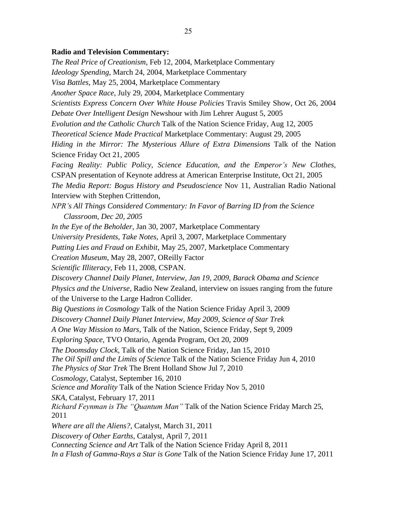# **Radio and Television Commentary:**

*The Real Price of Creationism*, Feb 12, 2004, Marketplace Commentary *Ideology Spending*, March 24, 2004, Marketplace Commentary *Visa Battles,* May 25, 2004, Marketplace Commentary *Another Space Race,* July 29, 2004, Marketplace Commentary *Scientists Express Concern Over White House Policies* Travis Smiley Show, Oct 26, 2004 *Debate Over Intelligent Design* Newshour with Jim Lehrer August 5, 2005 *Evolution and the Catholic Church* Talk of the Nation Science Friday, Aug 12, 2005 *Theoretical Science Made Practical* Marketplace Commentary: August 29, 2005 *Hiding in the Mirror: The Mysterious Allure of Extra Dimensions* Talk of the Nation Science Friday Oct 21, 2005 *Facing Reality: Public Policy, Science Education, and the Emperor's New Clothes,*  CSPAN presentation of Keynote address at American Enterprise Institute, Oct 21, 2005 *The Media Report: Bogus History and Pseudoscience* Nov 11, Australian Radio National Interview with Stephen Crittendon, *NPR's All Things Considered Commentary: In Favor of Barring ID from the Science Classroom, Dec 20, 2005 In the Eye of the Beholder*, Jan 30, 2007, Marketplace Commentary *University Presidents, Take Notes,* April 3, 2007, Marketplace Commentary *Putting Lies and Fraud on Exhibit*, May 25, 2007, Marketplace Commentary *Creation Museum*, May 28, 2007, OReilly Factor *Scientific Illiteracy,* Feb 11, 2008, CSPAN. *Discovery Channel Daily Planet, Interview, Jan 19, 2009, Barack Obama and Science Physics and the Universe,* Radio New Zealand, interview on issues ranging from the future of the Universe to the Large Hadron Collider. *Big Questions in Cosmology* Talk of the Nation Science Friday April 3, 2009 *Discovery Channel Daily Planet Interview, May 2009, Science of Star Trek A One Way Mission to Mars,* Talk of the Nation, Science Friday, Sept 9, 2009 *Exploring Space,* TVO Ontario, Agenda Program, Oct 20, 2009 *The Doomsday Clock,* Talk of the Nation Science Friday, Jan 15, 2010 *The Oil Spill and the Limits of Science* Talk of the Nation Science Friday Jun 4, 2010 *The Physics of Star Trek* The Brent Holland Show Jul 7, 2010 *Cosmology,* Catalyst, September 16, 2010 *Science and Morality* Talk of the Nation Science Friday Nov 5, 2010 *SKA,* Catalyst, February 17, 2011 *Richard Feynman is The "Quantum Man"* Talk of the Nation Science Friday March 25, 2011 *Where are all the Aliens?,* Catalyst, March 31, 2011 *Discovery of Other Earths*, Catalyst, April 7, 2011 *Connecting Science and Art* Talk of the Nation Science Friday April 8, 2011 *In a Flash of Gamma-Rays a Star is Gone* Talk of the Nation Science Friday June 17, 2011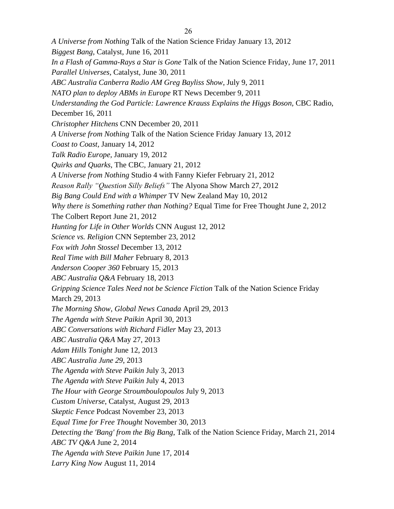*A Universe from Nothing* Talk of the Nation Science Friday January 13, 2012 *Biggest Bang,* Catalyst, June 16, 2011 *In a Flash of Gamma-Rays a Star is Gone* Talk of the Nation Science Friday, June 17, 2011 *Parallel Universes,* Catalyst, June 30, 2011 *ABC Australia Canberra Radio AM Greg Bayliss Show*, July 9, 2011 *NATO plan to deploy ABMs in Europe* RT News December 9, 2011 *Understanding the God Particle: Lawrence Krauss Explains the Higgs Boson,* CBC Radio, December 16, 2011 *Christopher Hitchens* CNN December 20, 2011 *A Universe from Nothing* Talk of the Nation Science Friday January 13, 2012 *Coast to Coast,* January 14, 2012 *Talk Radio Europe,* January 19, 2012 *Quirks and Quarks*, The CBC*,* January 21, 2012 *A Universe from Nothing* Studio 4 with Fanny Kiefer February 21, 2012 *Reason Rally "Question Silly Beliefs"* The Alyona Show March 27, 2012 *Big Bang Could End with a Whimper* TV New Zealand May 10, 2012 *Why there is Something rather than Nothing?* Equal Time for Free Thought June 2, 2012 The Colbert Report June 21, 2012 *Hunting for Life in Other Worlds* CNN August 12, 2012 *Science vs. Religion* CNN September 23, 2012 *Fox with John Stossel* December 13, 2012 *Real Time with Bill Maher* February 8, 2013 *Anderson Cooper 360* February 15, 2013 *ABC Australia Q&A* February 18, 2013 *Gripping Science Tales Need not be Science Fiction* Talk of the Nation Science Friday March 29, 2013 *The Morning Show, Global News Canada* April 29, 2013 *The Agenda with Steve Paikin* April 30, 2013 *ABC Conversations with Richard Fidler* May 23, 2013 *ABC Australia Q&A* May 27, 2013 *Adam Hills Tonight* June 12, 2013 *ABC Australia June 29*, 2013 *The Agenda with Steve Paikin* July 3, 2013 *The Agenda with Steve Paikin* July 4, 2013 *The Hour with George Stroumboulopoulos* July 9, 2013 *Custom Universe*, Catalyst, August 29, 2013 *Skeptic Fence* Podcast November 23, 2013 *Equal Time for Free Thought* November 30, 2013 *Detecting the 'Bang' from the Big Bang*, Talk of the Nation Science Friday, March 21, 2014 *ABC TV Q&A* June 2, 2014 *The Agenda with Steve Paikin* June 17, 2014 *Larry King Now* August 11, 2014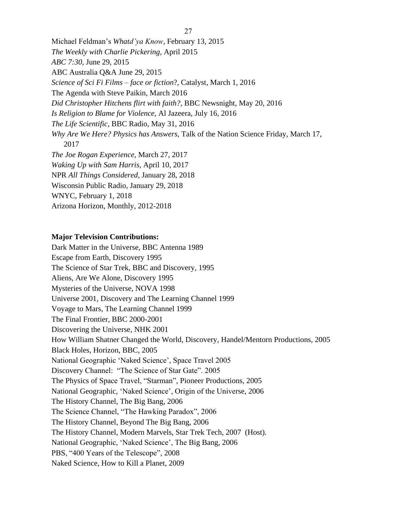Michael Feldman's *Whatd'ya Know*, February 13, 2015 *The Weekly with Charlie Pickering,* April 2015 *ABC 7:30,* June 29, 2015 ABC Australia Q&A June 29, 2015 *Science of Sci Fi Films – face or fiction*?, Catalyst, March 1, 2016 The Agenda with Steve Paikin, March 2016 *Did Christopher Hitchens flirt with faith?,* BBC Newsnight, May 20, 2016 *Is Religion to Blame for Violence,* Al Jazeera, July 16, 2016 *The Life Scientific*, BBC Radio, May 31, 2016 *Why Are We Here? Physics has Answers,* Talk of the Nation Science Friday, March 17, 2017 *The Joe Rogan Experience,* March 27, 2017 *Waking Up with Sam Harris,* April 10, 2017 NPR *All Things Considered*, January 28, 2018 Wisconsin Public Radio, January 29, 2018 WNYC, February 1, 2018 Arizona Horizon, Monthly, 2012-2018

27

#### **Major Television Contributions:**

Dark Matter in the Universe, BBC Antenna 1989 Escape from Earth, Discovery 1995 The Science of Star Trek, BBC and Discovery, 1995 Aliens, Are We Alone, Discovery 1995 Mysteries of the Universe, NOVA 1998 Universe 2001, Discovery and The Learning Channel 1999 Voyage to Mars, The Learning Channel 1999 The Final Frontier, BBC 2000-2001 Discovering the Universe, NHK 2001 How William Shatner Changed the World, Discovery, Handel/Mentorn Productions, 2005 Black Holes, Horizon, BBC, 2005 National Geographic 'Naked Science', Space Travel 2005 Discovery Channel: "The Science of Star Gate". 2005 The Physics of Space Travel, "Starman", Pioneer Productions, 2005 National Geographic, 'Naked Science', Origin of the Universe, 2006 The History Channel, The Big Bang, 2006 The Science Channel, "The Hawking Paradox", 2006 The History Channel, Beyond The Big Bang, 2006 The History Channel, Modern Marvels, Star Trek Tech, 2007 (Host). National Geographic, 'Naked Science', The Big Bang, 2006 PBS, "400 Years of the Telescope", 2008 Naked Science, How to Kill a Planet, 2009